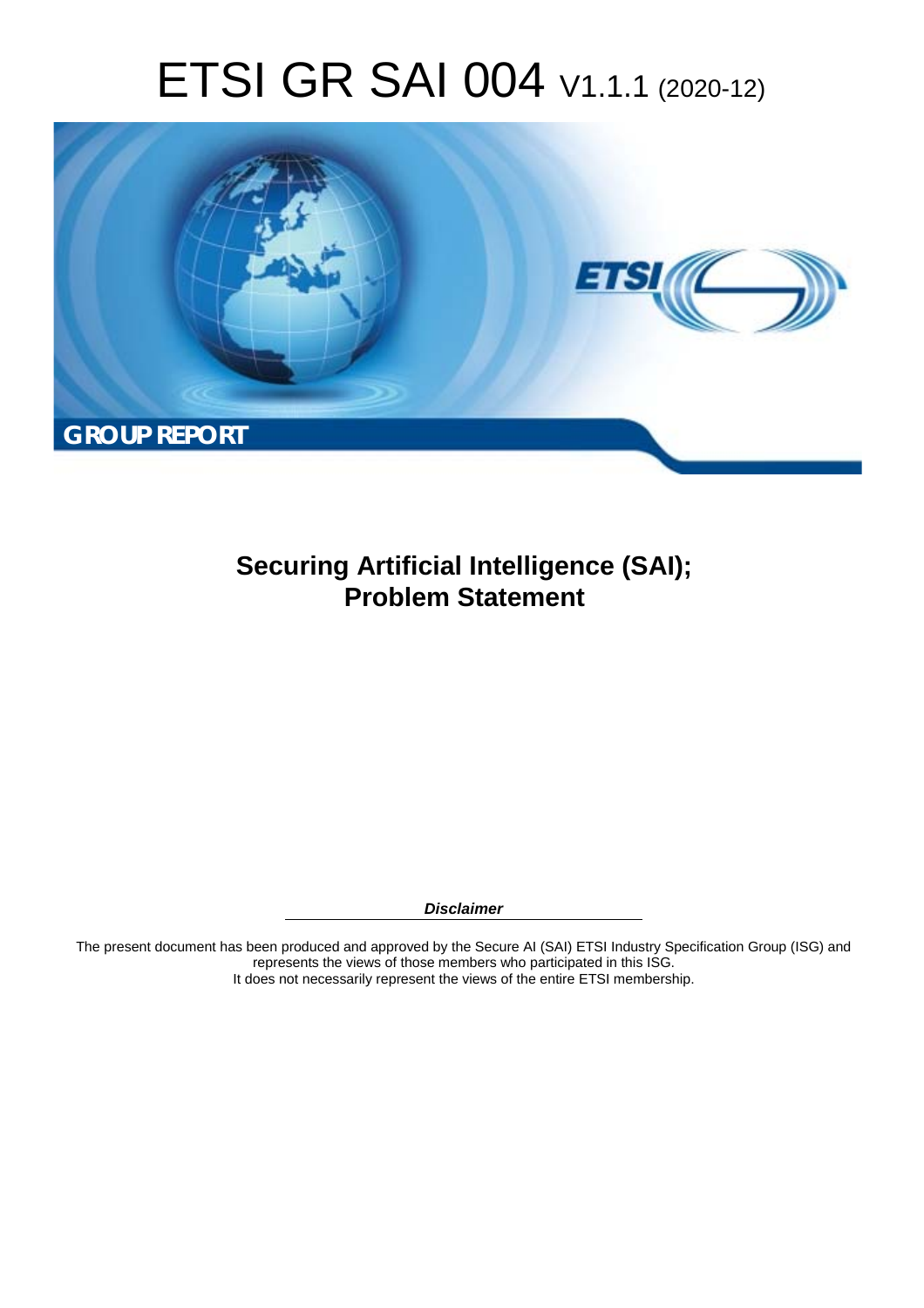# ETSI GR SAI 004 V1.1.1 (2020-12)



**Securing Artificial Intelligence (SAI); Problem Statement** 

*Disclaimer* 

The present document has been produced and approved by the Secure AI (SAI) ETSI Industry Specification Group (ISG) and represents the views of those members who participated in this ISG. It does not necessarily represent the views of the entire ETSI membership.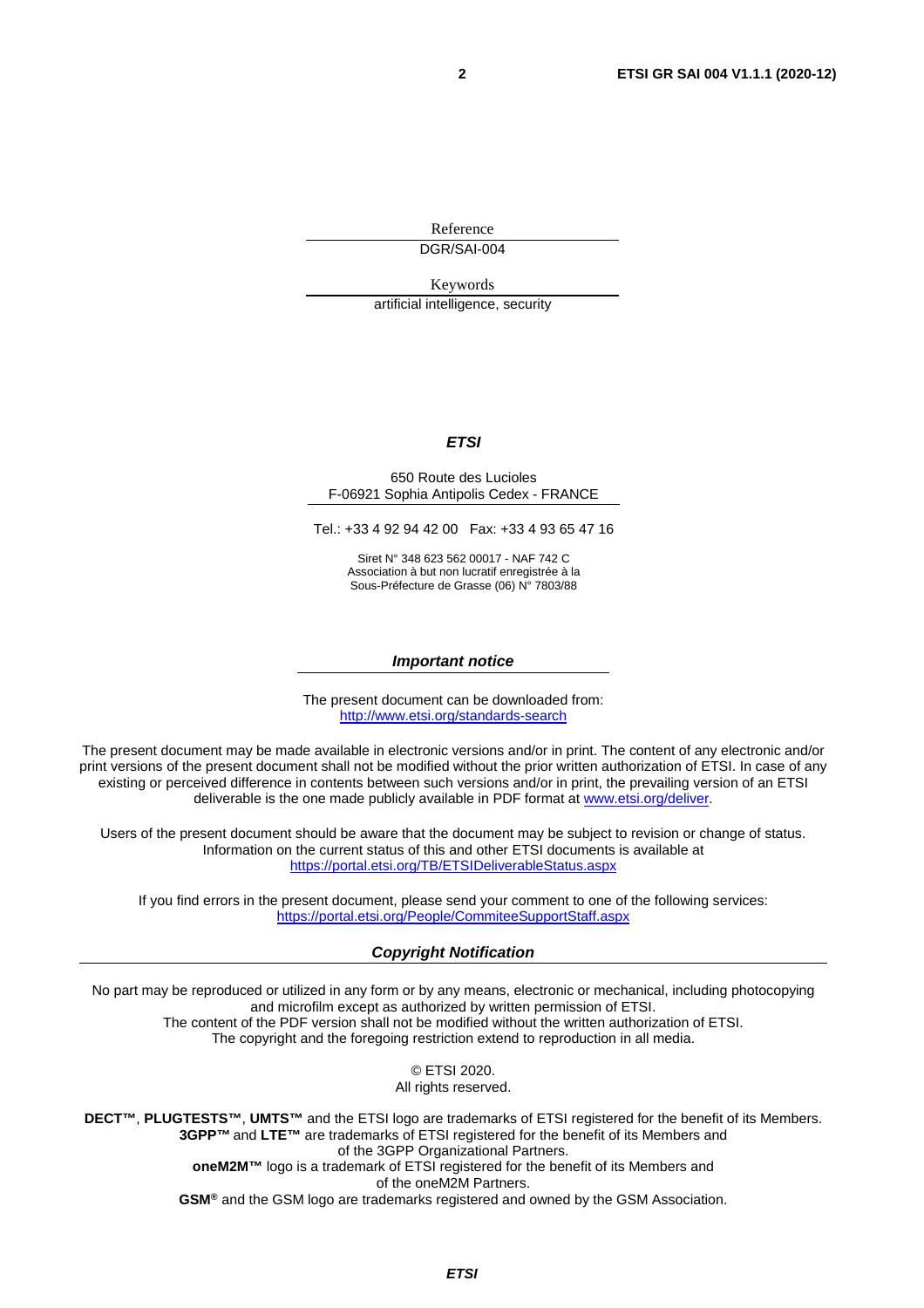Reference

DGR/SAI-004

Keywords

artificial intelligence, security

#### *ETSI*

#### 650 Route des Lucioles F-06921 Sophia Antipolis Cedex - FRANCE

Tel.: +33 4 92 94 42 00 Fax: +33 4 93 65 47 16

Siret N° 348 623 562 00017 - NAF 742 C Association à but non lucratif enregistrée à la Sous-Préfecture de Grasse (06) N° 7803/88

#### *Important notice*

The present document can be downloaded from: <http://www.etsi.org/standards-search>

The present document may be made available in electronic versions and/or in print. The content of any electronic and/or print versions of the present document shall not be modified without the prior written authorization of ETSI. In case of any existing or perceived difference in contents between such versions and/or in print, the prevailing version of an ETSI deliverable is the one made publicly available in PDF format at [www.etsi.org/deliver](http://www.etsi.org/deliver).

Users of the present document should be aware that the document may be subject to revision or change of status. Information on the current status of this and other ETSI documents is available at <https://portal.etsi.org/TB/ETSIDeliverableStatus.aspx>

If you find errors in the present document, please send your comment to one of the following services: <https://portal.etsi.org/People/CommiteeSupportStaff.aspx>

#### *Copyright Notification*

No part may be reproduced or utilized in any form or by any means, electronic or mechanical, including photocopying and microfilm except as authorized by written permission of ETSI. The content of the PDF version shall not be modified without the written authorization of ETSI. The copyright and the foregoing restriction extend to reproduction in all media.

> © ETSI 2020. All rights reserved.

**DECT™**, **PLUGTESTS™**, **UMTS™** and the ETSI logo are trademarks of ETSI registered for the benefit of its Members. **3GPP™** and **LTE™** are trademarks of ETSI registered for the benefit of its Members and of the 3GPP Organizational Partners. **oneM2M™** logo is a trademark of ETSI registered for the benefit of its Members and of the oneM2M Partners. **GSM®** and the GSM logo are trademarks registered and owned by the GSM Association.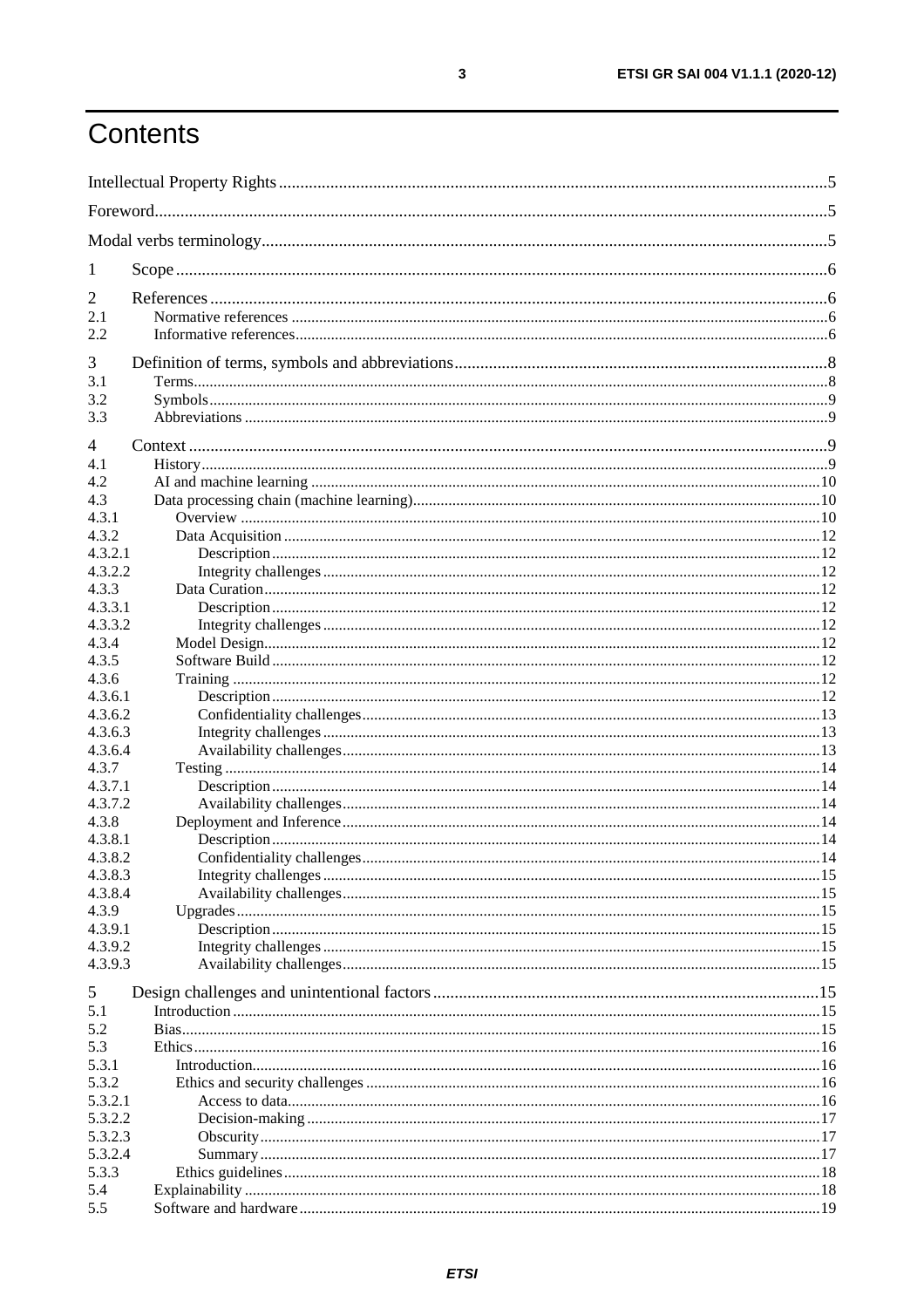# Contents

| 1                  |  |  |  |  |  |
|--------------------|--|--|--|--|--|
| 2                  |  |  |  |  |  |
| 2.1                |  |  |  |  |  |
| 2.2                |  |  |  |  |  |
| 3                  |  |  |  |  |  |
| 3.1                |  |  |  |  |  |
| 3.2                |  |  |  |  |  |
| 3.3                |  |  |  |  |  |
| $\overline{4}$     |  |  |  |  |  |
| 4.1                |  |  |  |  |  |
| 4.2                |  |  |  |  |  |
| 4.3                |  |  |  |  |  |
| 4.3.1              |  |  |  |  |  |
| 4.3.2<br>4.3.2.1   |  |  |  |  |  |
| 4.3.2.2            |  |  |  |  |  |
| 4.3.3              |  |  |  |  |  |
| 4.3.3.1            |  |  |  |  |  |
| 4.3.3.2            |  |  |  |  |  |
| 4.3.4              |  |  |  |  |  |
| 4.3.5              |  |  |  |  |  |
| 4.3.6              |  |  |  |  |  |
| 4.3.6.1            |  |  |  |  |  |
| 4.3.6.2<br>4.3.6.3 |  |  |  |  |  |
| 4.3.6.4            |  |  |  |  |  |
| 4.3.7              |  |  |  |  |  |
| 4.3.7.1            |  |  |  |  |  |
| 4.3.7.2            |  |  |  |  |  |
| 4.3.8              |  |  |  |  |  |
| 4.3.8.1            |  |  |  |  |  |
| 4.3.8.2            |  |  |  |  |  |
| 4.3.8.3<br>4.3.8.4 |  |  |  |  |  |
| 4.3.9              |  |  |  |  |  |
| 4.3.9.1            |  |  |  |  |  |
| 4.3.9.2            |  |  |  |  |  |
| 4.3.9.3            |  |  |  |  |  |
| 5                  |  |  |  |  |  |
| 5.1                |  |  |  |  |  |
| 5.2                |  |  |  |  |  |
| 5.3                |  |  |  |  |  |
| 5.3.1              |  |  |  |  |  |
| 5.3.2              |  |  |  |  |  |
| 5.3.2.1            |  |  |  |  |  |
| 5.3.2.2            |  |  |  |  |  |
| 5.3.2.3<br>5.3.2.4 |  |  |  |  |  |
| 5.3.3              |  |  |  |  |  |
| 5.4                |  |  |  |  |  |
| 5.5                |  |  |  |  |  |
|                    |  |  |  |  |  |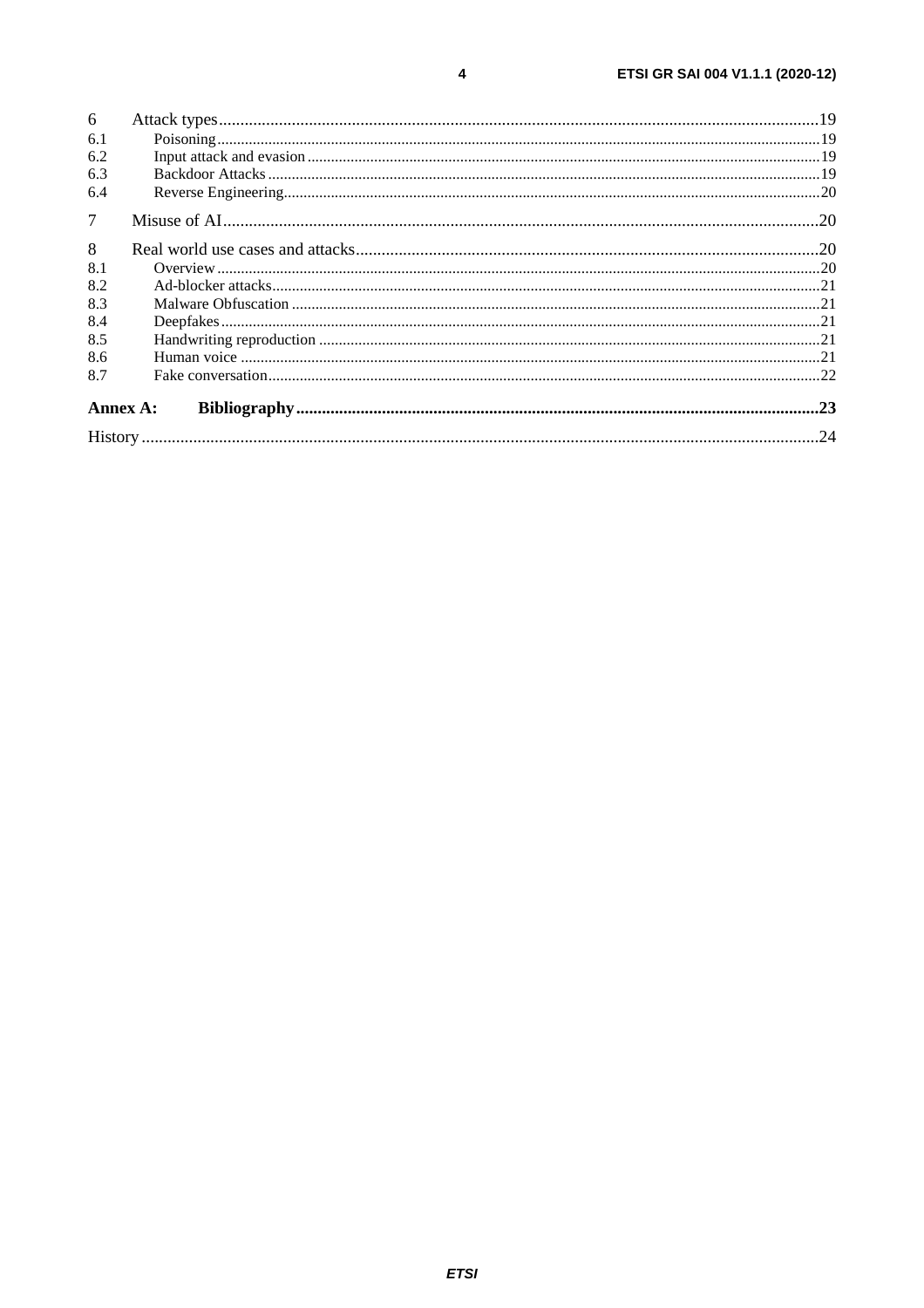| 6              |  |  |  |  |
|----------------|--|--|--|--|
| 6.1            |  |  |  |  |
| 6.2            |  |  |  |  |
| 6.3            |  |  |  |  |
| 6.4            |  |  |  |  |
| 7 <sup>1</sup> |  |  |  |  |
| 8              |  |  |  |  |
| 8.1            |  |  |  |  |
| 8.2            |  |  |  |  |
| 8.3            |  |  |  |  |
| 8.4            |  |  |  |  |
| 8.5            |  |  |  |  |
| 8.6            |  |  |  |  |
| 8.7            |  |  |  |  |
| Annex A:       |  |  |  |  |
|                |  |  |  |  |

 $\overline{\mathbf{4}}$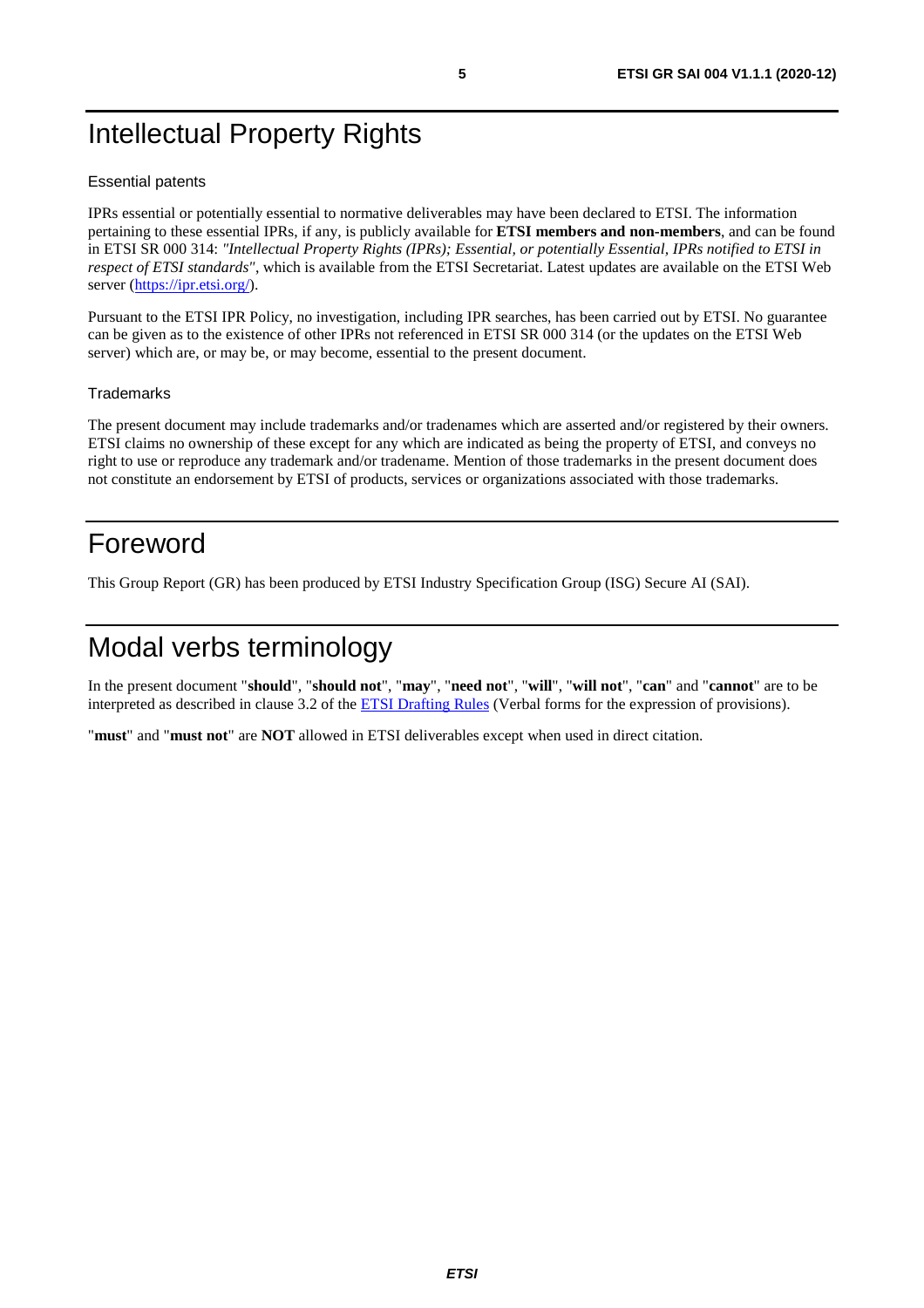# <span id="page-4-0"></span>Intellectual Property Rights

#### Essential patents

IPRs essential or potentially essential to normative deliverables may have been declared to ETSI. The information pertaining to these essential IPRs, if any, is publicly available for **ETSI members and non-members**, and can be found in ETSI SR 000 314: *"Intellectual Property Rights (IPRs); Essential, or potentially Essential, IPRs notified to ETSI in respect of ETSI standards"*, which is available from the ETSI Secretariat. Latest updates are available on the ETSI Web server ([https://ipr.etsi.org/\)](https://ipr.etsi.org/).

Pursuant to the ETSI IPR Policy, no investigation, including IPR searches, has been carried out by ETSI. No guarantee can be given as to the existence of other IPRs not referenced in ETSI SR 000 314 (or the updates on the ETSI Web server) which are, or may be, or may become, essential to the present document.

#### **Trademarks**

The present document may include trademarks and/or tradenames which are asserted and/or registered by their owners. ETSI claims no ownership of these except for any which are indicated as being the property of ETSI, and conveys no right to use or reproduce any trademark and/or tradename. Mention of those trademarks in the present document does not constitute an endorsement by ETSI of products, services or organizations associated with those trademarks.

# Foreword

This Group Report (GR) has been produced by ETSI Industry Specification Group (ISG) Secure AI (SAI).

# Modal verbs terminology

In the present document "**should**", "**should not**", "**may**", "**need not**", "**will**", "**will not**", "**can**" and "**cannot**" are to be interpreted as described in clause 3.2 of the [ETSI Drafting Rules](https://portal.etsi.org/Services/editHelp!/Howtostart/ETSIDraftingRules.aspx) (Verbal forms for the expression of provisions).

"**must**" and "**must not**" are **NOT** allowed in ETSI deliverables except when used in direct citation.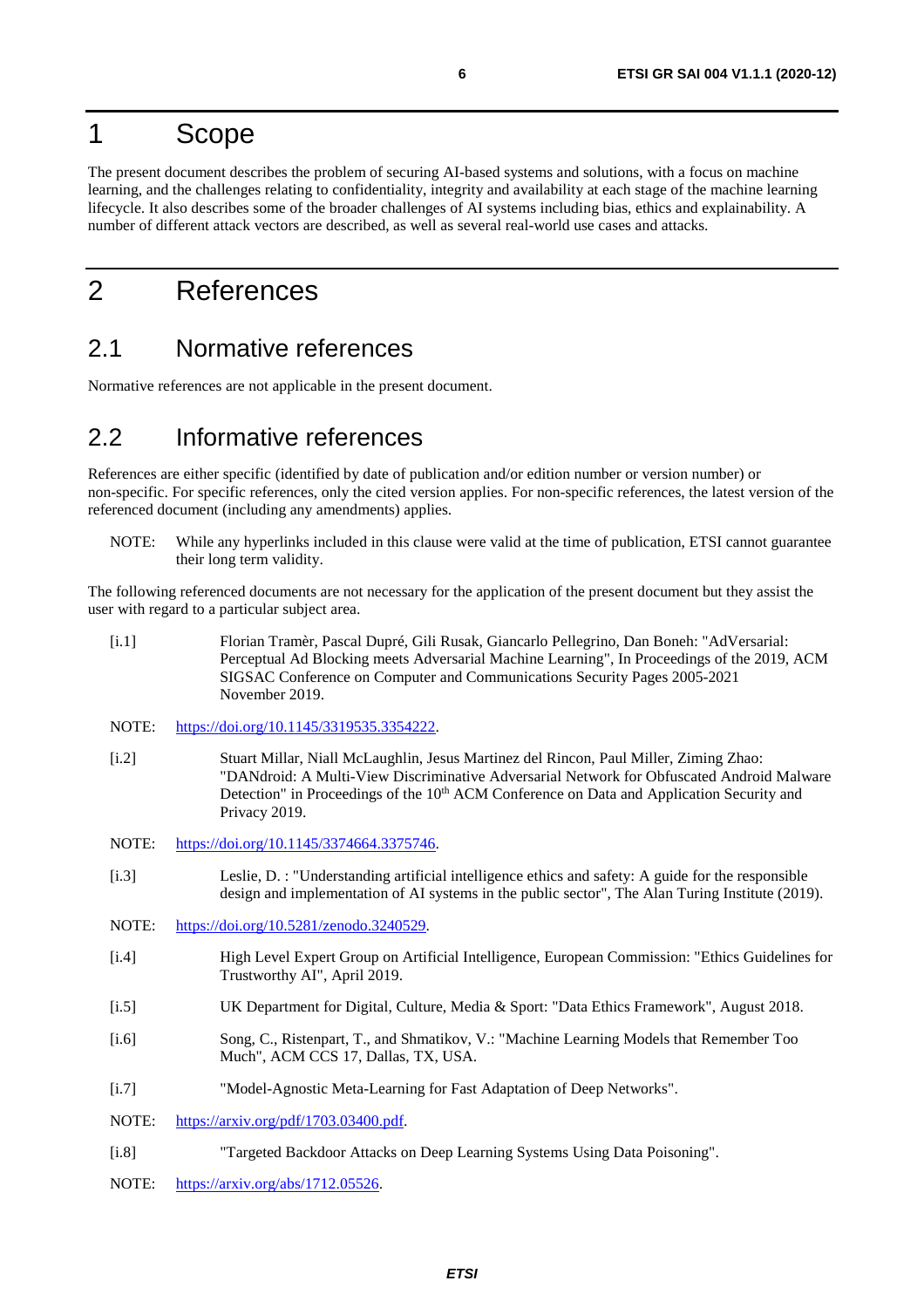# <span id="page-5-0"></span>1 Scope

The present document describes the problem of securing AI-based systems and solutions, with a focus on machine learning, and the challenges relating to confidentiality, integrity and availability at each stage of the machine learning lifecycle. It also describes some of the broader challenges of AI systems including bias, ethics and explainability. A number of different attack vectors are described, as well as several real-world use cases and attacks.

# 2 References

### 2.1 Normative references

Normative references are not applicable in the present document.

# 2.2 Informative references

References are either specific (identified by date of publication and/or edition number or version number) or non-specific. For specific references, only the cited version applies. For non-specific references, the latest version of the referenced document (including any amendments) applies.

NOTE: While any hyperlinks included in this clause were valid at the time of publication, ETSI cannot guarantee their long term validity.

The following referenced documents are not necessary for the application of the present document but they assist the user with regard to a particular subject area.

- [i.1] Florian Tramèr, Pascal Dupré, Gili Rusak, Giancarlo Pellegrino, Dan Boneh: "AdVersarial: Perceptual Ad Blocking meets Adversarial Machine Learning", In Proceedings of the 2019, ACM SIGSAC Conference on Computer and Communications Security Pages 2005-2021 November 2019.
- NOTE: <https://doi.org/10.1145/3319535.3354222>.
- [i.2] Stuart Millar, Niall McLaughlin, Jesus Martinez del Rincon, Paul Miller, Ziming Zhao: "DANdroid: A Multi-View Discriminative Adversarial Network for Obfuscated Android Malware Detection" in Proceedings of the 10<sup>th</sup> ACM Conference on Data and Application Security and Privacy 2019.
- NOTE: <https://doi.org/10.1145/3374664.3375746>.
- [i.3] Leslie, D. : "Understanding artificial intelligence ethics and safety: A guide for the responsible design and implementation of AI systems in the public sector", The Alan Turing Institute (2019).
- NOTE: <https://doi.org/10.5281/zenodo.3240529>.
- [i.4] High Level Expert Group on Artificial Intelligence, European Commission: "Ethics Guidelines for Trustworthy AI", April 2019.
- [i.5] UK Department for Digital, Culture, Media & Sport: "Data Ethics Framework", August 2018.
- [i.6] Song, C., Ristenpart, T., and Shmatikov, V.: "Machine Learning Models that Remember Too Much", ACM CCS 17, Dallas, TX, USA.
- [i.7] "Model-Agnostic Meta-Learning for Fast Adaptation of Deep Networks".
- NOTE: [https://arxiv.org/pdf/1703.03400.pdf.](https://arxiv.org/pdf/1703.03400.pdf)
- [i.8] "Targeted Backdoor Attacks on Deep Learning Systems Using Data Poisoning".
- NOTE: <https://arxiv.org/abs/1712.05526>.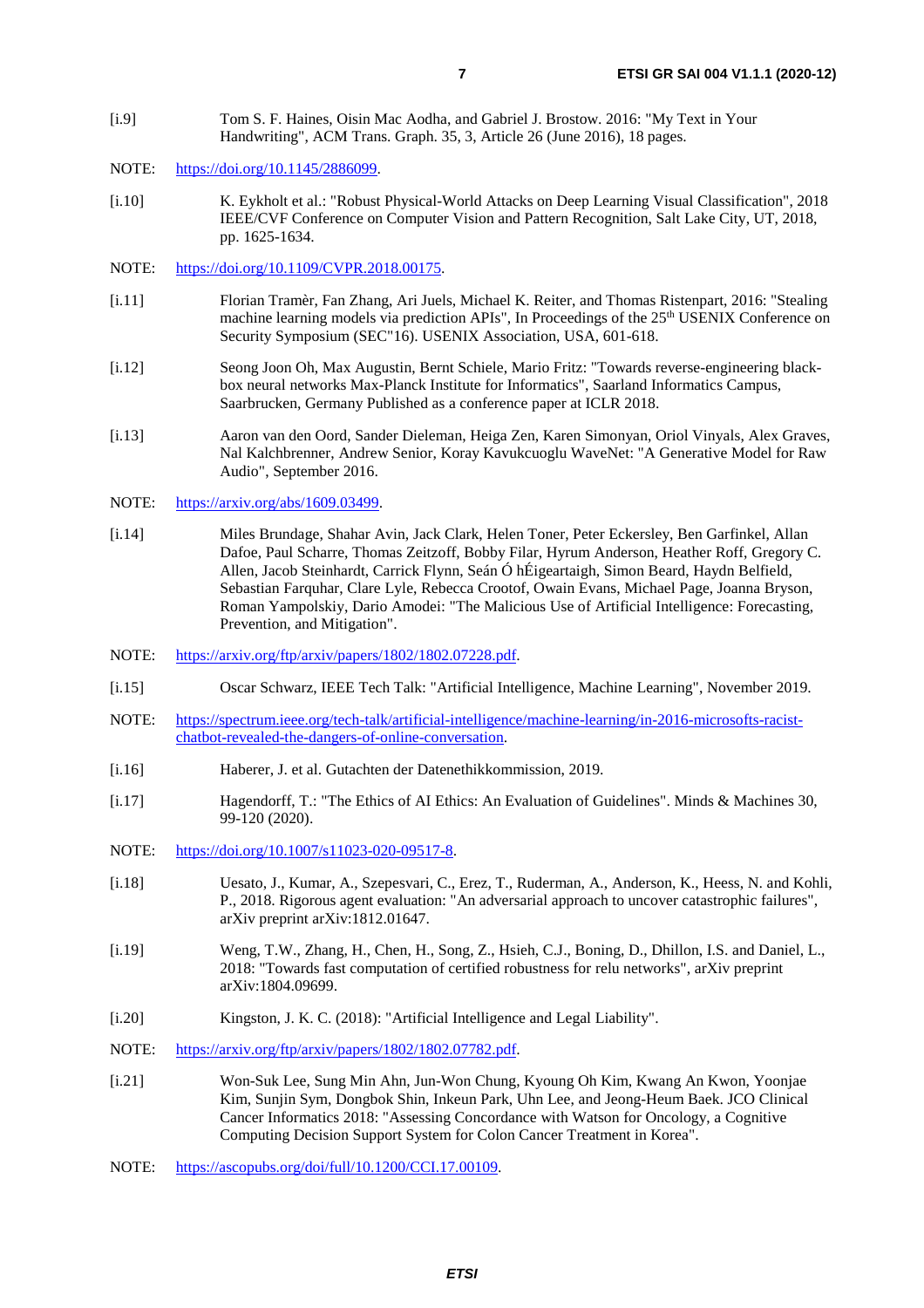- <span id="page-6-0"></span>[i.9] Tom S. F. Haines, Oisin Mac Aodha, and Gabriel J. Brostow. 2016: "My Text in Your Handwriting", ACM Trans. Graph. 35, 3, Article 26 (June 2016), 18 pages.
- NOTE: [https://doi.org/10.1145/2886099.](https://doi.org/10.1145/2886099)
- [i.10] K. Eykholt et al.: "Robust Physical-World Attacks on Deep Learning Visual Classification", 2018 IEEE/CVF Conference on Computer Vision and Pattern Recognition, Salt Lake City, UT, 2018, pp. 1625-1634.
- NOTE: <https://doi.org/10.1109/CVPR.2018.00175>.
- [i.11] Florian Tramèr, Fan Zhang, Ari Juels, Michael K. Reiter, and Thomas Ristenpart, 2016: "Stealing machine learning models via prediction APIs". In Proceedings of the 25<sup>th</sup> USENIX Conference on Security Symposium (SEC"16). USENIX Association, USA, 601-618.
- [i.12] Seong Joon Oh, Max Augustin, Bernt Schiele, Mario Fritz: "Towards reverse-engineering blackbox neural networks Max-Planck Institute for Informatics", Saarland Informatics Campus, Saarbrucken, Germany Published as a conference paper at ICLR 2018.
- [i.13] Aaron van den Oord, Sander Dieleman, Heiga Zen, Karen Simonyan, Oriol Vinyals, Alex Graves, Nal Kalchbrenner, Andrew Senior, Koray Kavukcuoglu WaveNet: "A Generative Model for Raw Audio", September 2016.
- NOTE: <https://arxiv.org/abs/1609.03499>.
- [i.14] Miles Brundage, Shahar Avin, Jack Clark, Helen Toner, Peter Eckersley, Ben Garfinkel, Allan Dafoe, Paul Scharre, Thomas Zeitzoff, Bobby Filar, Hyrum Anderson, Heather Roff, Gregory C. Allen, Jacob Steinhardt, Carrick Flynn, Seán Ó hÉigeartaigh, Simon Beard, Haydn Belfield, Sebastian Farquhar, Clare Lyle, Rebecca Crootof, Owain Evans, Michael Page, Joanna Bryson, Roman Yampolskiy, Dario Amodei: "The Malicious Use of Artificial Intelligence: Forecasting, Prevention, and Mitigation".
- NOTE: <https://arxiv.org/ftp/arxiv/papers/1802/1802.07228.pdf>.
- [i.15] Oscar Schwarz, IEEE Tech Talk: "Artificial Intelligence, Machine Learning", November 2019.
- NOTE: [https://spectrum.ieee.org/tech-talk/artificial-intelligence/machine-learning/in-2016-microsofts-racist](https://spectrum.ieee.org/tech-talk/artificial-intelligence/machine-learning/in-2016-microsofts-racist-chatbot-revealed-the-dangers-of-online-conversation)[chatbot-revealed-the-dangers-of-online-conversation](https://spectrum.ieee.org/tech-talk/artificial-intelligence/machine-learning/in-2016-microsofts-racist-chatbot-revealed-the-dangers-of-online-conversation).
- [i.16] Haberer, J. et al. Gutachten der Datenethikkommission, 2019.
- [i.17] Hagendorff, T.: "The Ethics of AI Ethics: An Evaluation of Guidelines". Minds & Machines 30, 99-120 (2020).
- NOTE: [https://doi.org/10.1007/s11023-020-09517-8.](https://doi.org/10.1007/s11023-020-09517-8)
- [i.18] Uesato, J., Kumar, A., Szepesvari, C., Erez, T., Ruderman, A., Anderson, K., Heess, N. and Kohli, P., 2018. Rigorous agent evaluation: "An adversarial approach to uncover catastrophic failures", arXiv preprint arXiv:1812.01647.
- [i.19] Weng, T.W., Zhang, H., Chen, H., Song, Z., Hsieh, C.J., Boning, D., Dhillon, I.S. and Daniel, L., 2018: "Towards fast computation of certified robustness for relu networks", arXiv preprint arXiv:1804.09699.
- [i.20] Kingston, J. K. C. (2018): "Artificial Intelligence and Legal Liability".
- NOTE: <https://arxiv.org/ftp/arxiv/papers/1802/1802.07782.pdf>.
- [i.21] Won-Suk Lee, Sung Min Ahn, Jun-Won Chung, Kyoung Oh Kim, Kwang An Kwon, Yoonjae Kim, Sunjin Sym, Dongbok Shin, Inkeun Park, Uhn Lee, and Jeong-Heum Baek. JCO Clinical Cancer Informatics 2018: "Assessing Concordance with Watson for Oncology, a Cognitive Computing Decision Support System for Colon Cancer Treatment in Korea".
- NOTE: <https://ascopubs.org/doi/full/10.1200/CCI.17.00109>.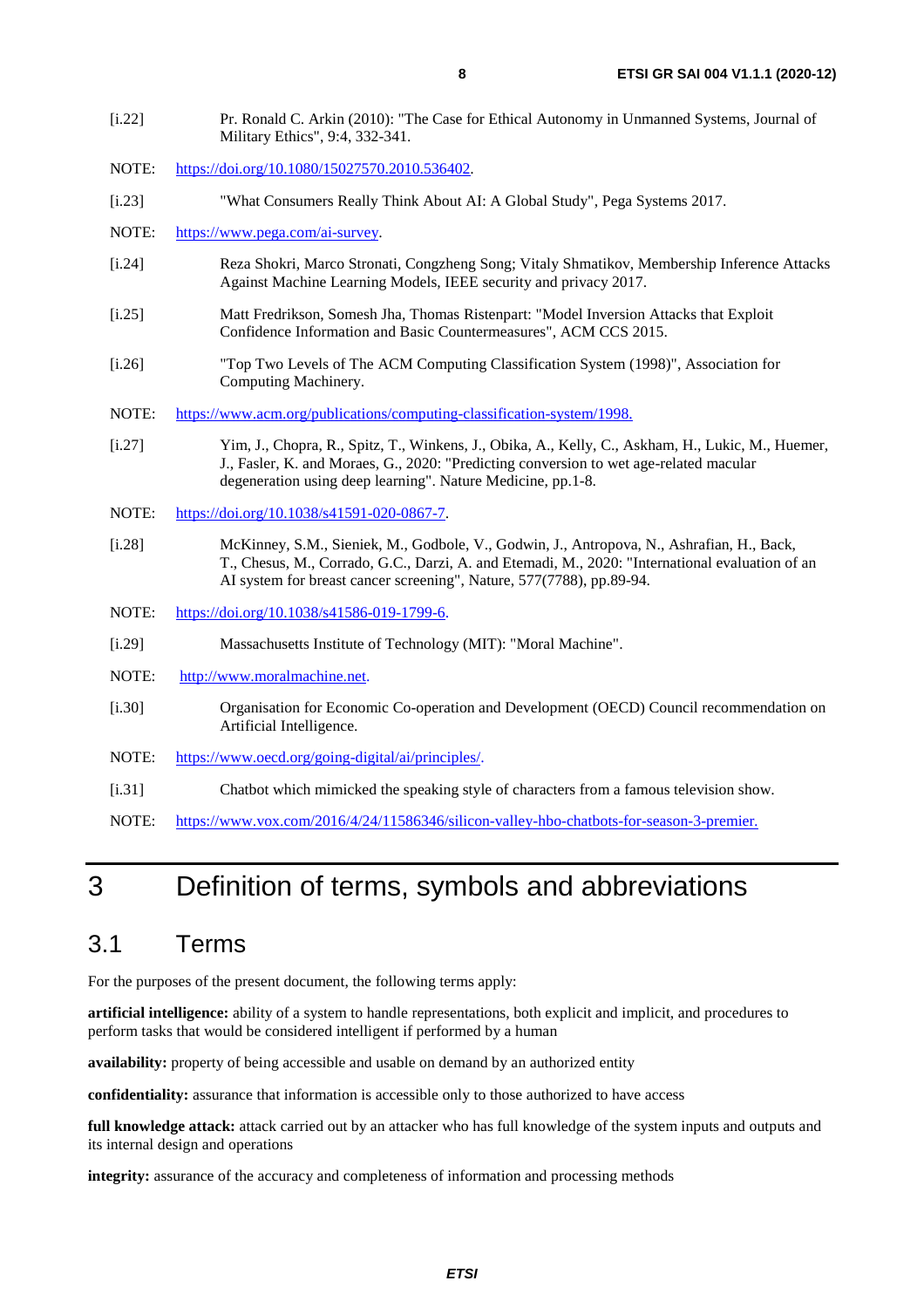- <span id="page-7-0"></span>[i.22] Pr. Ronald C. Arkin (2010): "The Case for Ethical Autonomy in Unmanned Systems, Journal of Military Ethics", 9:4, 332-341.
- NOTE: [https://doi.org/10.1080/15027570.2010.536402.](https://doi.org/10.1080/15027570.2010.536402)
- [i.23] "What Consumers Really Think About AI: A Global Study", Pega Systems 2017.
- NOTE: [https://www.pega.com/ai-survey.](https://www.pega.com/ai-survey)
- [i.24] Reza Shokri, Marco Stronati, Congzheng Song; Vitaly Shmatikov, Membership Inference Attacks Against Machine Learning Models, IEEE security and privacy 2017.
- [i.25] Matt Fredrikson, Somesh Jha, Thomas Ristenpart: "Model Inversion Attacks that Exploit Confidence Information and Basic Countermeasures", ACM CCS 2015.
- [i.26] "Top Two Levels of The ACM Computing Classification System (1998)", Association for Computing Machinery.
- NOTE: [https://www.acm.org/publications/computing-classification-system/1998.](https://www.acm.org/publications/computing-classification-system/1998)
- [i.27] Yim, J., Chopra, R., Spitz, T., Winkens, J., Obika, A., Kelly, C., Askham, H., Lukic, M., Huemer, J., Fasler, K. and Moraes, G., 2020: "Predicting conversion to wet age-related macular degeneration using deep learning". Nature Medicine, pp.1-8.
- NOTE: <https://doi.org/10.1038/s41591-020-0867-7>.
- [i.28] McKinney, S.M., Sieniek, M., Godbole, V., Godwin, J., Antropova, N., Ashrafian, H., Back, T., Chesus, M., Corrado, G.C., Darzi, A. and Etemadi, M., 2020: "International evaluation of an AI system for breast cancer screening", Nature, 577(7788), pp.89-94.
- NOTE: <https://doi.org/10.1038/s41586-019-1799-6>.
- [i.29] Massachusetts Institute of Technology (MIT): "Moral Machine".
- NOTE: [http://www.moralmachine.net.](http://www.moralmachine.net/)
- [i.30] Organisation for Economic Co-operation and Development (OECD) Council recommendation on Artificial Intelligence.
- NOTE: [https://www.oecd.org/going-digital/ai/principles/.](https://www.oecd.org/going-digital/ai/principles/)
- [i.31] Chatbot which mimicked the speaking style of characters from a famous television show.
- NOTE: <https://www.vox.com/2016/4/24/11586346/silicon-valley-hbo-chatbots-for-season-3-premier>*.*

# 3 Definition of terms, symbols and abbreviations

### 3.1 Terms

For the purposes of the present document, the following terms apply:

**artificial intelligence:** ability of a system to handle representations, both explicit and implicit, and procedures to perform tasks that would be considered intelligent if performed by a human

**availability:** property of being accessible and usable on demand by an authorized entity

**confidentiality:** assurance that information is accessible only to those authorized to have access

**full knowledge attack:** attack carried out by an attacker who has full knowledge of the system inputs and outputs and its internal design and operations

**integrity:** assurance of the accuracy and completeness of information and processing methods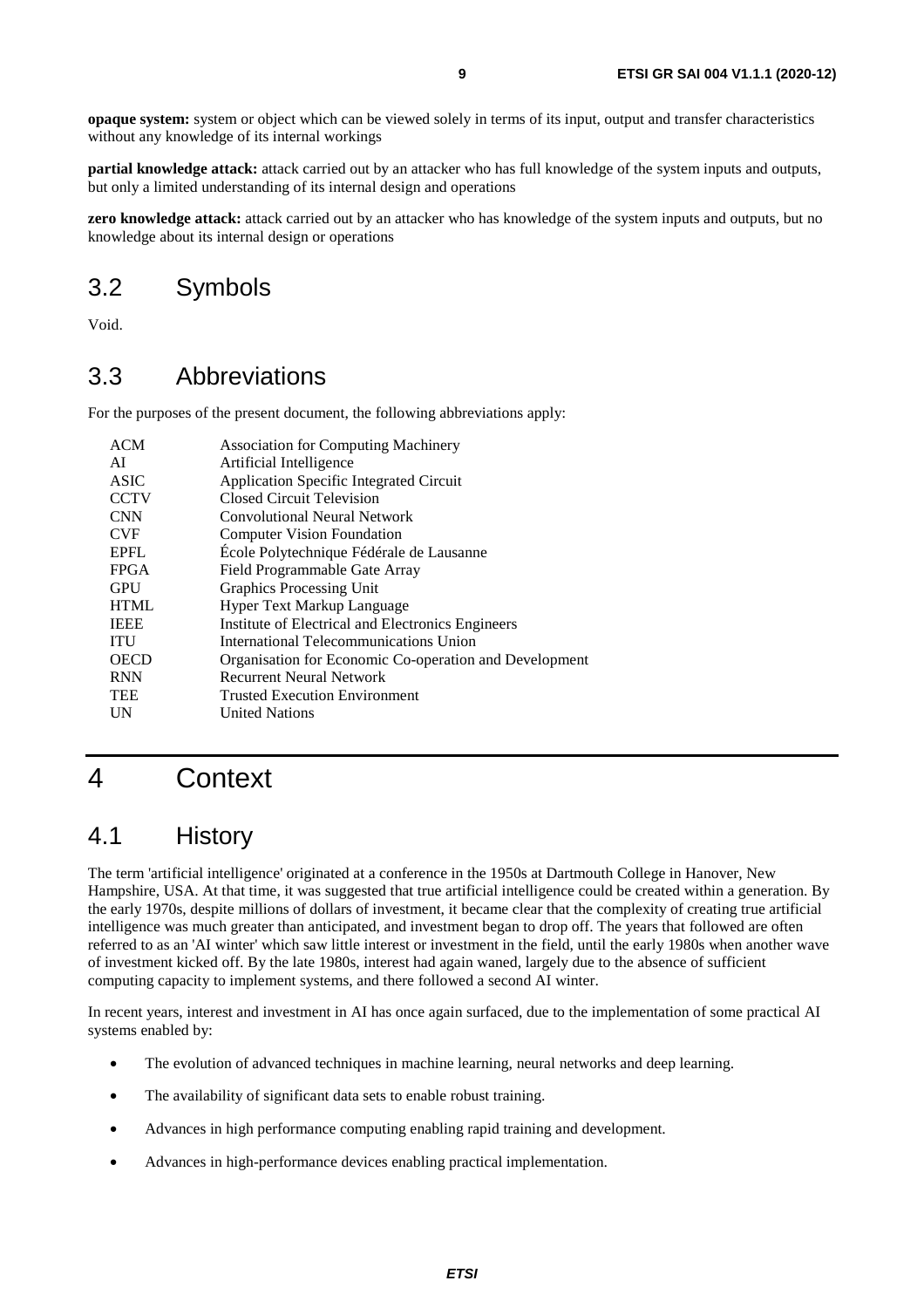<span id="page-8-0"></span>**opaque system:** system or object which can be viewed solely in terms of its input, output and transfer characteristics without any knowledge of its internal workings

**partial knowledge attack:** attack carried out by an attacker who has full knowledge of the system inputs and outputs, but only a limited understanding of its internal design and operations

**zero knowledge attack:** attack carried out by an attacker who has knowledge of the system inputs and outputs, but no knowledge about its internal design or operations

## 3.2 Symbols

Void.

# 3.3 Abbreviations

For the purposes of the present document, the following abbreviations apply:

| Artificial Intelligence<br>AI<br><b>ASIC</b><br>Application Specific Integrated Circuit<br><b>CCTV</b><br>Closed Circuit Television<br><b>CNN</b><br>Convolutional Neural Network<br><b>CVF</b><br><b>Computer Vision Foundation</b><br>École Polytechnique Fédérale de Lausanne<br><b>EPFL</b><br>Field Programmable Gate Array<br><b>FPGA</b><br><b>GPU</b><br>Graphics Processing Unit<br><b>HTML</b><br>Hyper Text Markup Language<br><b>IEEE</b><br>Institute of Electrical and Electronics Engineers<br>International Telecommunications Union<br><b>ITU</b><br><b>OECD</b><br><b>RNN</b><br><b>Recurrent Neural Network</b><br><b>TEE</b><br><b>Trusted Execution Environment</b> | ACM | <b>Association for Computing Machinery</b>             |
|------------------------------------------------------------------------------------------------------------------------------------------------------------------------------------------------------------------------------------------------------------------------------------------------------------------------------------------------------------------------------------------------------------------------------------------------------------------------------------------------------------------------------------------------------------------------------------------------------------------------------------------------------------------------------------------|-----|--------------------------------------------------------|
|                                                                                                                                                                                                                                                                                                                                                                                                                                                                                                                                                                                                                                                                                          |     |                                                        |
|                                                                                                                                                                                                                                                                                                                                                                                                                                                                                                                                                                                                                                                                                          |     |                                                        |
|                                                                                                                                                                                                                                                                                                                                                                                                                                                                                                                                                                                                                                                                                          |     |                                                        |
|                                                                                                                                                                                                                                                                                                                                                                                                                                                                                                                                                                                                                                                                                          |     |                                                        |
|                                                                                                                                                                                                                                                                                                                                                                                                                                                                                                                                                                                                                                                                                          |     |                                                        |
|                                                                                                                                                                                                                                                                                                                                                                                                                                                                                                                                                                                                                                                                                          |     |                                                        |
|                                                                                                                                                                                                                                                                                                                                                                                                                                                                                                                                                                                                                                                                                          |     |                                                        |
|                                                                                                                                                                                                                                                                                                                                                                                                                                                                                                                                                                                                                                                                                          |     |                                                        |
|                                                                                                                                                                                                                                                                                                                                                                                                                                                                                                                                                                                                                                                                                          |     |                                                        |
|                                                                                                                                                                                                                                                                                                                                                                                                                                                                                                                                                                                                                                                                                          |     |                                                        |
|                                                                                                                                                                                                                                                                                                                                                                                                                                                                                                                                                                                                                                                                                          |     |                                                        |
|                                                                                                                                                                                                                                                                                                                                                                                                                                                                                                                                                                                                                                                                                          |     | Organisation for Economic Co-operation and Development |
|                                                                                                                                                                                                                                                                                                                                                                                                                                                                                                                                                                                                                                                                                          |     |                                                        |
|                                                                                                                                                                                                                                                                                                                                                                                                                                                                                                                                                                                                                                                                                          |     |                                                        |
|                                                                                                                                                                                                                                                                                                                                                                                                                                                                                                                                                                                                                                                                                          | UN  | <b>United Nations</b>                                  |

# 4 Context

# 4.1 History

The term 'artificial intelligence' originated at a conference in the 1950s at Dartmouth College in Hanover, New Hampshire, USA. At that time, it was suggested that true artificial intelligence could be created within a generation. By the early 1970s, despite millions of dollars of investment, it became clear that the complexity of creating true artificial intelligence was much greater than anticipated, and investment began to drop off. The years that followed are often referred to as an 'AI winter' which saw little interest or investment in the field, until the early 1980s when another wave of investment kicked off. By the late 1980s, interest had again waned, largely due to the absence of sufficient computing capacity to implement systems, and there followed a second AI winter.

In recent years, interest and investment in AI has once again surfaced, due to the implementation of some practical AI systems enabled by:

- The evolution of advanced techniques in machine learning, neural networks and deep learning.
- The availability of significant data sets to enable robust training.
- Advances in high performance computing enabling rapid training and development.
- Advances in high-performance devices enabling practical implementation.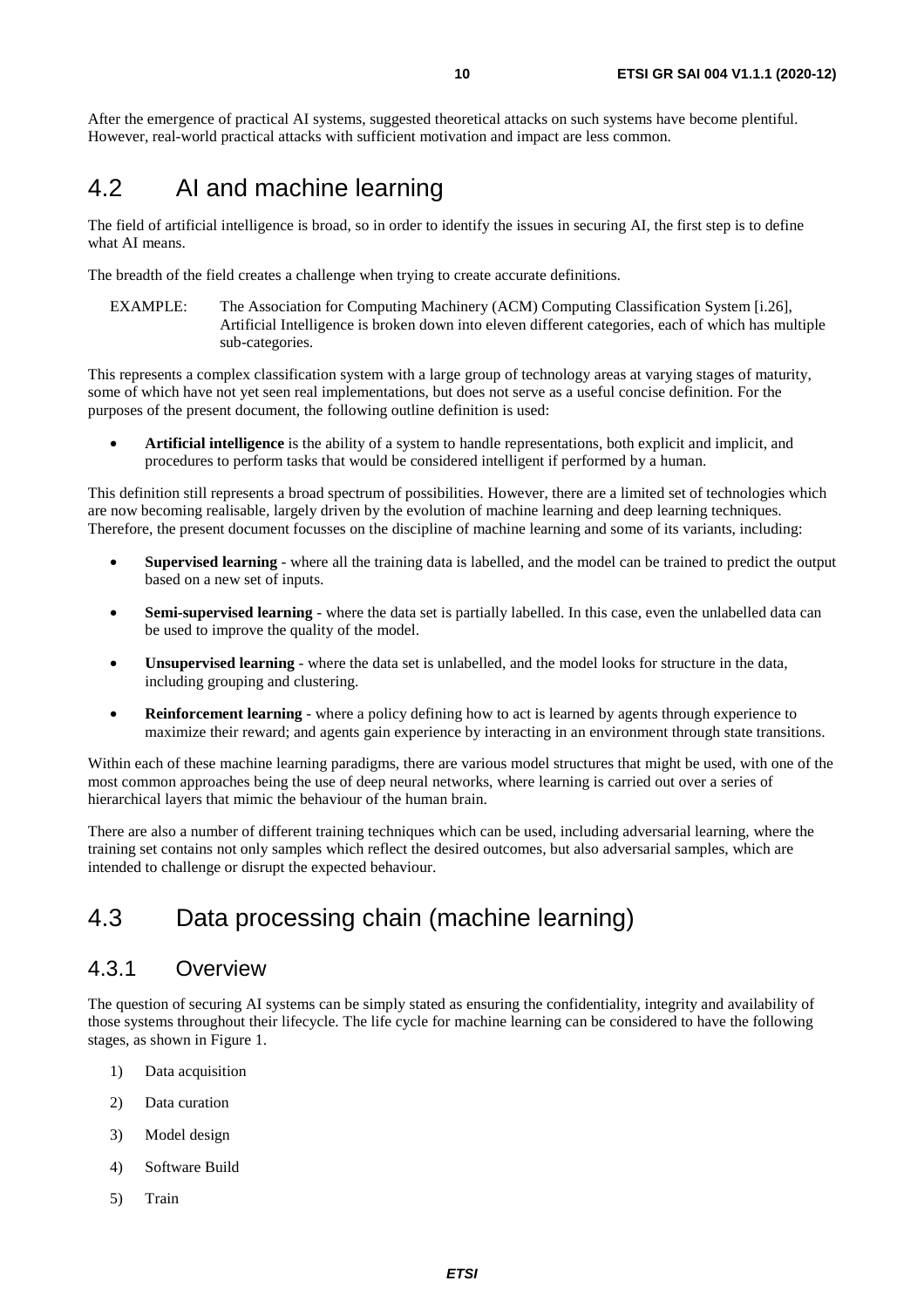<span id="page-9-0"></span>After the emergence of practical AI systems, suggested theoretical attacks on such systems have become plentiful. However, real-world practical attacks with sufficient motivation and impact are less common.

# 4.2 AI and machine learning

The field of artificial intelligence is broad, so in order to identify the issues in securing AI, the first step is to define what AI means.

The breadth of the field creates a challenge when trying to create accurate definitions.

EXAMPLE: The Association for Computing Machinery (ACM) Computing Classification System [\[i.26](#page-7-0)], Artificial Intelligence is broken down into eleven different categories, each of which has multiple sub-categories.

This represents a complex classification system with a large group of technology areas at varying stages of maturity, some of which have not yet seen real implementations, but does not serve as a useful concise definition. For the purposes of the present document, the following outline definition is used:

• **Artificial intelligence** is the ability of a system to handle representations, both explicit and implicit, and procedures to perform tasks that would be considered intelligent if performed by a human.

This definition still represents a broad spectrum of possibilities. However, there are a limited set of technologies which are now becoming realisable, largely driven by the evolution of machine learning and deep learning techniques. Therefore, the present document focusses on the discipline of machine learning and some of its variants, including:

- **Supervised learning** where all the training data is labelled, and the model can be trained to predict the output based on a new set of inputs.
- **Semi-supervised learning** where the data set is partially labelled. In this case, even the unlabelled data can be used to improve the quality of the model.
- **Unsupervised learning**  where the data set is unlabelled, and the model looks for structure in the data, including grouping and clustering.
- **Reinforcement learning** where a policy defining how to act is learned by agents through experience to maximize their reward; and agents gain experience by interacting in an environment through state transitions.

Within each of these machine learning paradigms, there are various model structures that might be used, with one of the most common approaches being the use of deep neural networks, where learning is carried out over a series of hierarchical layers that mimic the behaviour of the human brain.

There are also a number of different training techniques which can be used, including adversarial learning, where the training set contains not only samples which reflect the desired outcomes, but also adversarial samples, which are intended to challenge or disrupt the expected behaviour.

# 4.3 Data processing chain (machine learning)

#### 4.3.1 Overview

The question of securing AI systems can be simply stated as ensuring the confidentiality, integrity and availability of those systems throughout their lifecycle. The life cycle for machine learning can be considered to have the following stages, as shown in [Figure 1](#page-10-0).

- 1) Data acquisition
- 2) Data curation
- 3) Model design
- 4) Software Build
- 5) Train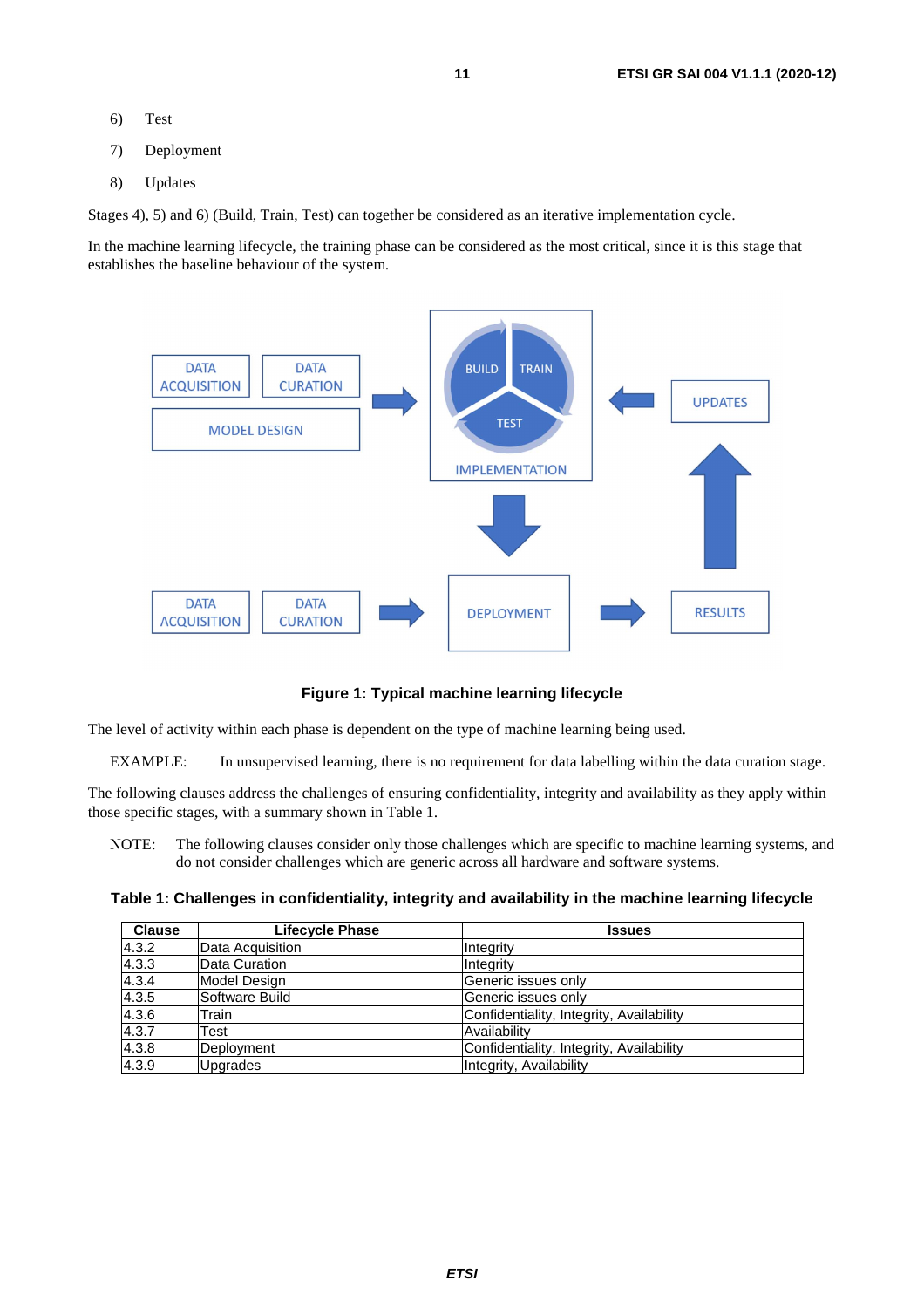- <span id="page-10-0"></span>6) Test
- 7) Deployment
- 8) Updates

Stages 4), 5) and 6) (Build, Train, Test) can together be considered as an iterative implementation cycle.

In the machine learning lifecycle, the training phase can be considered as the most critical, since it is this stage that establishes the baseline behaviour of the system.



**Figure 1: Typical machine learning lifecycle** 

The level of activity within each phase is dependent on the type of machine learning being used.

EXAMPLE: In unsupervised learning, there is no requirement for data labelling within the data curation stage.

The following clauses address the challenges of ensuring confidentiality, integrity and availability as they apply within those specific stages, with a summary shown in Table 1.

NOTE: The following clauses consider only those challenges which are specific to machine learning systems, and do not consider challenges which are generic across all hardware and software systems.

**Table 1: Challenges in confidentiality, integrity and availability in the machine learning lifecycle** 

| <b>Clause</b> | Lifecycle Phase  | <b>Issues</b>                            |
|---------------|------------------|------------------------------------------|
| 4.3.2         | Data Acquisition | Integrity                                |
| 4.3.3         | Data Curation    | Integrity                                |
| 4.3.4         | Model Design     | Generic issues only                      |
| 4.3.5         | Software Build   | Generic issues only                      |
| 4.3.6         | Train            | Confidentiality, Integrity, Availability |
| 4.3.7         | Test             | Availability                             |
| 4.3.8         | Deployment       | Confidentiality, Integrity, Availability |
| 4.3.9         | <b>Upgrades</b>  | Integrity, Availability                  |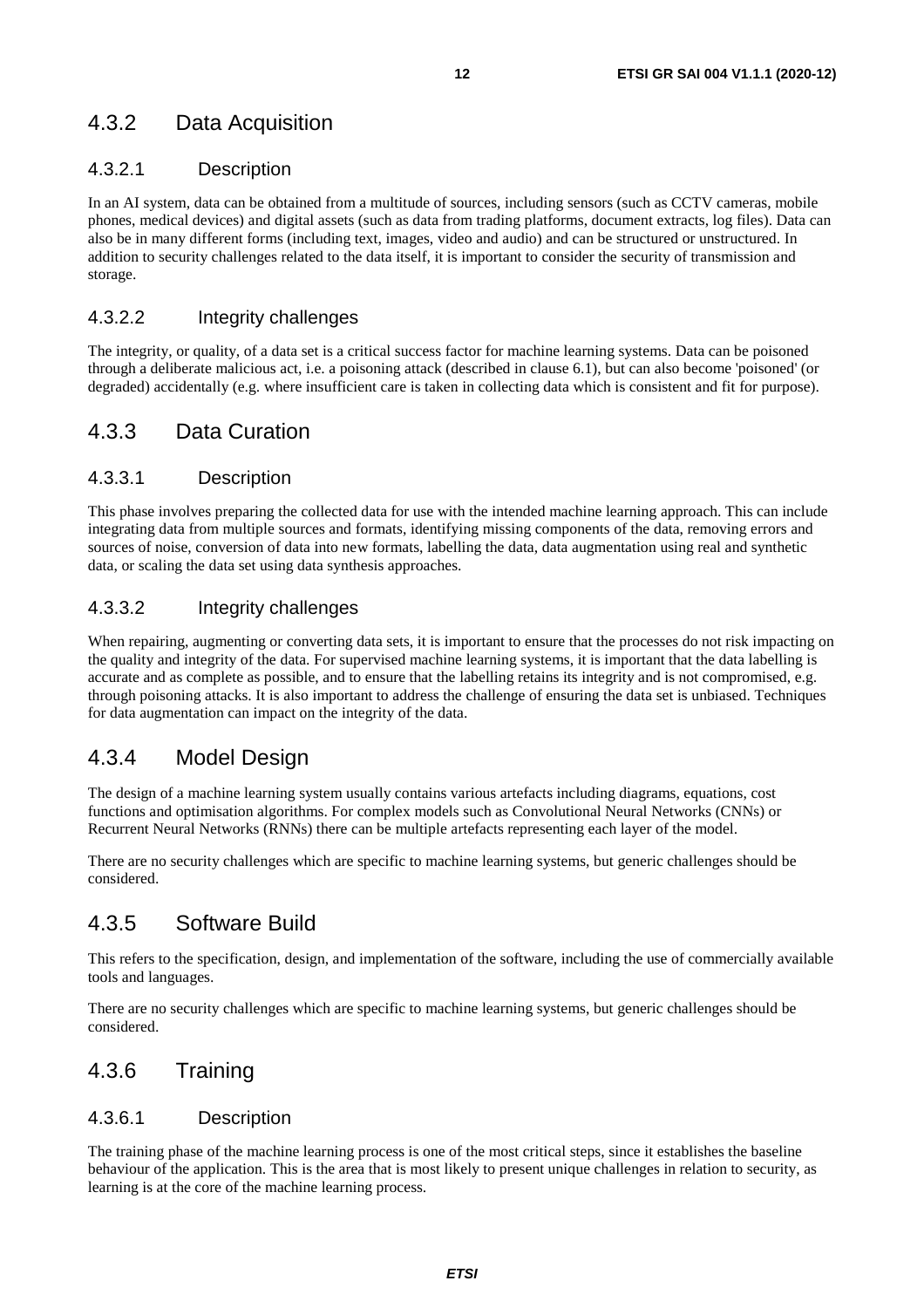### <span id="page-11-0"></span>4.3.2 Data Acquisition

#### 4.3.2.1 Description

In an AI system, data can be obtained from a multitude of sources, including sensors (such as CCTV cameras, mobile phones, medical devices) and digital assets (such as data from trading platforms, document extracts, log files). Data can also be in many different forms (including text, images, video and audio) and can be structured or unstructured. In addition to security challenges related to the data itself, it is important to consider the security of transmission and storage.

#### 4.3.2.2 Integrity challenges

The integrity, or quality, of a data set is a critical success factor for machine learning systems. Data can be poisoned through a deliberate malicious act, i.e. a poisoning attack (described in clause 6.1), but can also become 'poisoned' (or degraded) accidentally (e.g. where insufficient care is taken in collecting data which is consistent and fit for purpose).

#### 4.3.3 Data Curation

#### 4.3.3.1 Description

This phase involves preparing the collected data for use with the intended machine learning approach. This can include integrating data from multiple sources and formats, identifying missing components of the data, removing errors and sources of noise, conversion of data into new formats, labelling the data, data augmentation using real and synthetic data, or scaling the data set using data synthesis approaches.

#### 4.3.3.2 Integrity challenges

When repairing, augmenting or converting data sets, it is important to ensure that the processes do not risk impacting on the quality and integrity of the data. For supervised machine learning systems, it is important that the data labelling is accurate and as complete as possible, and to ensure that the labelling retains its integrity and is not compromised, e.g. through poisoning attacks. It is also important to address the challenge of ensuring the data set is unbiased. Techniques for data augmentation can impact on the integrity of the data.

### 4.3.4 Model Design

The design of a machine learning system usually contains various artefacts including diagrams, equations, cost functions and optimisation algorithms. For complex models such as Convolutional Neural Networks (CNNs) or Recurrent Neural Networks (RNNs) there can be multiple artefacts representing each layer of the model.

There are no security challenges which are specific to machine learning systems, but generic challenges should be considered.

#### 4.3.5 Software Build

This refers to the specification, design, and implementation of the software, including the use of commercially available tools and languages.

There are no security challenges which are specific to machine learning systems, but generic challenges should be considered.

#### 4.3.6 Training

#### 4.3.6.1 Description

The training phase of the machine learning process is one of the most critical steps, since it establishes the baseline behaviour of the application. This is the area that is most likely to present unique challenges in relation to security, as learning is at the core of the machine learning process.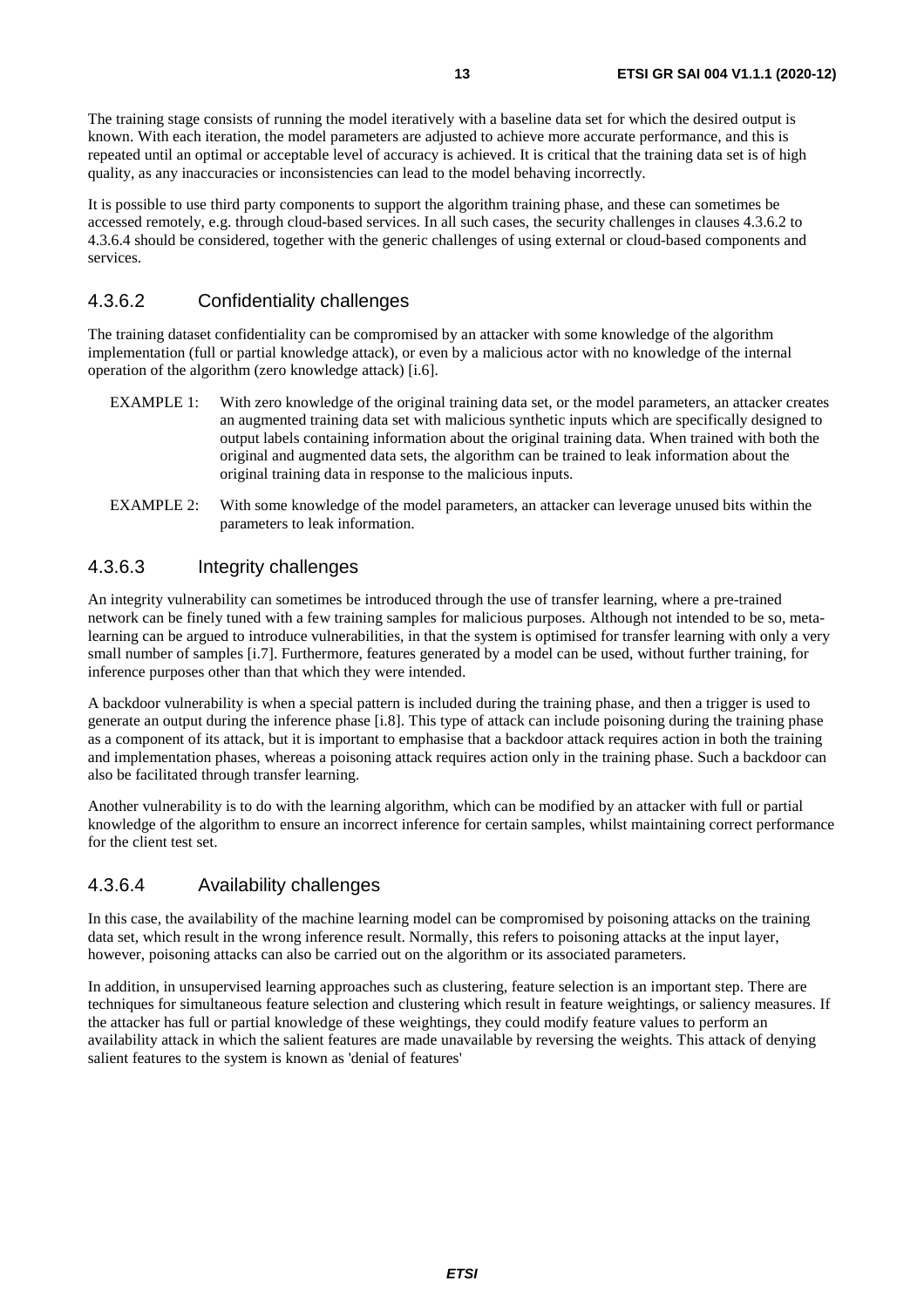<span id="page-12-0"></span>The training stage consists of running the model iteratively with a baseline data set for which the desired output is known. With each iteration, the model parameters are adjusted to achieve more accurate performance, and this is repeated until an optimal or acceptable level of accuracy is achieved. It is critical that the training data set is of high quality, as any inaccuracies or inconsistencies can lead to the model behaving incorrectly.

It is possible to use third party components to support the algorithm training phase, and these can sometimes be accessed remotely, e.g. through cloud-based services. In all such cases, the security challenges in clauses 4.3.6.2 to 4.3.6.4 should be considered, together with the generic challenges of using external or cloud-based components and services.

#### 4.3.6.2 Confidentiality challenges

The training dataset confidentiality can be compromised by an attacker with some knowledge of the algorithm implementation (full or partial knowledge attack), or even by a malicious actor with no knowledge of the internal operation of the algorithm (zero knowledge attack) [\[i.6](#page-5-0)].

- EXAMPLE 1: With zero knowledge of the original training data set, or the model parameters, an attacker creates an augmented training data set with malicious synthetic inputs which are specifically designed to output labels containing information about the original training data. When trained with both the original and augmented data sets, the algorithm can be trained to leak information about the original training data in response to the malicious inputs.
- EXAMPLE 2: With some knowledge of the model parameters, an attacker can leverage unused bits within the parameters to leak information.

#### 4.3.6.3 Integrity challenges

An integrity vulnerability can sometimes be introduced through the use of transfer learning, where a pre-trained network can be finely tuned with a few training samples for malicious purposes. Although not intended to be so, metalearning can be argued to introduce vulnerabilities, in that the system is optimised for transfer learning with only a very small number of samples [\[i.7\]](#page-5-0). Furthermore, features generated by a model can be used, without further training, for inference purposes other than that which they were intended.

A backdoor vulnerability is when a special pattern is included during the training phase, and then a trigger is used to generate an output during the inference phase [[i.8\]](#page-5-0). This type of attack can include poisoning during the training phase as a component of its attack, but it is important to emphasise that a backdoor attack requires action in both the training and implementation phases, whereas a poisoning attack requires action only in the training phase. Such a backdoor can also be facilitated through transfer learning.

Another vulnerability is to do with the learning algorithm, which can be modified by an attacker with full or partial knowledge of the algorithm to ensure an incorrect inference for certain samples, whilst maintaining correct performance for the client test set.

#### 4.3.6.4 Availability challenges

In this case, the availability of the machine learning model can be compromised by poisoning attacks on the training data set, which result in the wrong inference result. Normally, this refers to poisoning attacks at the input layer, however, poisoning attacks can also be carried out on the algorithm or its associated parameters.

In addition, in unsupervised learning approaches such as clustering, feature selection is an important step. There are techniques for simultaneous feature selection and clustering which result in feature weightings, or saliency measures. If the attacker has full or partial knowledge of these weightings, they could modify feature values to perform an availability attack in which the salient features are made unavailable by reversing the weights. This attack of denying salient features to the system is known as 'denial of features'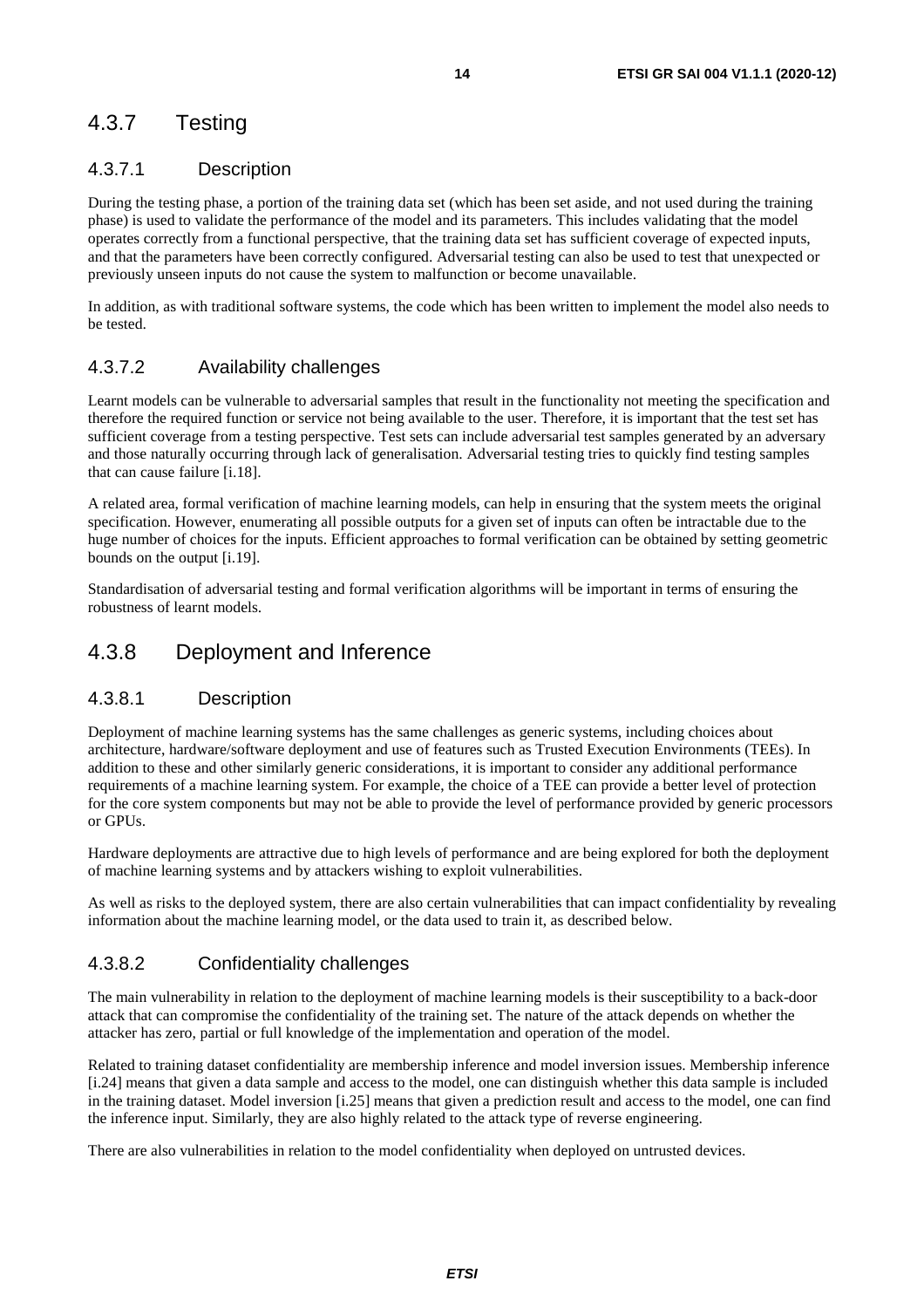### <span id="page-13-0"></span>4.3.7 Testing

#### 4.3.7.1 Description

During the testing phase, a portion of the training data set (which has been set aside, and not used during the training phase) is used to validate the performance of the model and its parameters. This includes validating that the model operates correctly from a functional perspective, that the training data set has sufficient coverage of expected inputs, and that the parameters have been correctly configured. Adversarial testing can also be used to test that unexpected or previously unseen inputs do not cause the system to malfunction or become unavailable.

In addition, as with traditional software systems, the code which has been written to implement the model also needs to be tested.

#### 4.3.7.2 Availability challenges

Learnt models can be vulnerable to adversarial samples that result in the functionality not meeting the specification and therefore the required function or service not being available to the user. Therefore, it is important that the test set has sufficient coverage from a testing perspective. Test sets can include adversarial test samples generated by an adversary and those naturally occurring through lack of generalisation. Adversarial testing tries to quickly find testing samples that can cause failure [\[i.18](#page-6-0)].

A related area, formal verification of machine learning models, can help in ensuring that the system meets the original specification. However, enumerating all possible outputs for a given set of inputs can often be intractable due to the huge number of choices for the inputs. Efficient approaches to formal verification can be obtained by setting geometric bounds on the output [\[i.19\]](#page-6-0).

Standardisation of adversarial testing and formal verification algorithms will be important in terms of ensuring the robustness of learnt models.

#### 4.3.8 Deployment and Inference

#### 4.3.8.1 Description

Deployment of machine learning systems has the same challenges as generic systems, including choices about architecture, hardware/software deployment and use of features such as Trusted Execution Environments (TEEs). In addition to these and other similarly generic considerations, it is important to consider any additional performance requirements of a machine learning system. For example, the choice of a TEE can provide a better level of protection for the core system components but may not be able to provide the level of performance provided by generic processors or GPUs.

Hardware deployments are attractive due to high levels of performance and are being explored for both the deployment of machine learning systems and by attackers wishing to exploit vulnerabilities.

As well as risks to the deployed system, there are also certain vulnerabilities that can impact confidentiality by revealing information about the machine learning model, or the data used to train it, as described below.

#### 4.3.8.2 Confidentiality challenges

The main vulnerability in relation to the deployment of machine learning models is their susceptibility to a back-door attack that can compromise the confidentiality of the training set. The nature of the attack depends on whether the attacker has zero, partial or full knowledge of the implementation and operation of the model.

Related to training dataset confidentiality are membership inference and model inversion issues. Membership inference [[i.24](#page-7-0)] means that given a data sample and access to the model, one can distinguish whether this data sample is included in the training dataset. Model inversion [\[i.25\]](#page-7-0) means that given a prediction result and access to the model, one can find the inference input. Similarly, they are also highly related to the attack type of reverse engineering.

There are also vulnerabilities in relation to the model confidentiality when deployed on untrusted devices.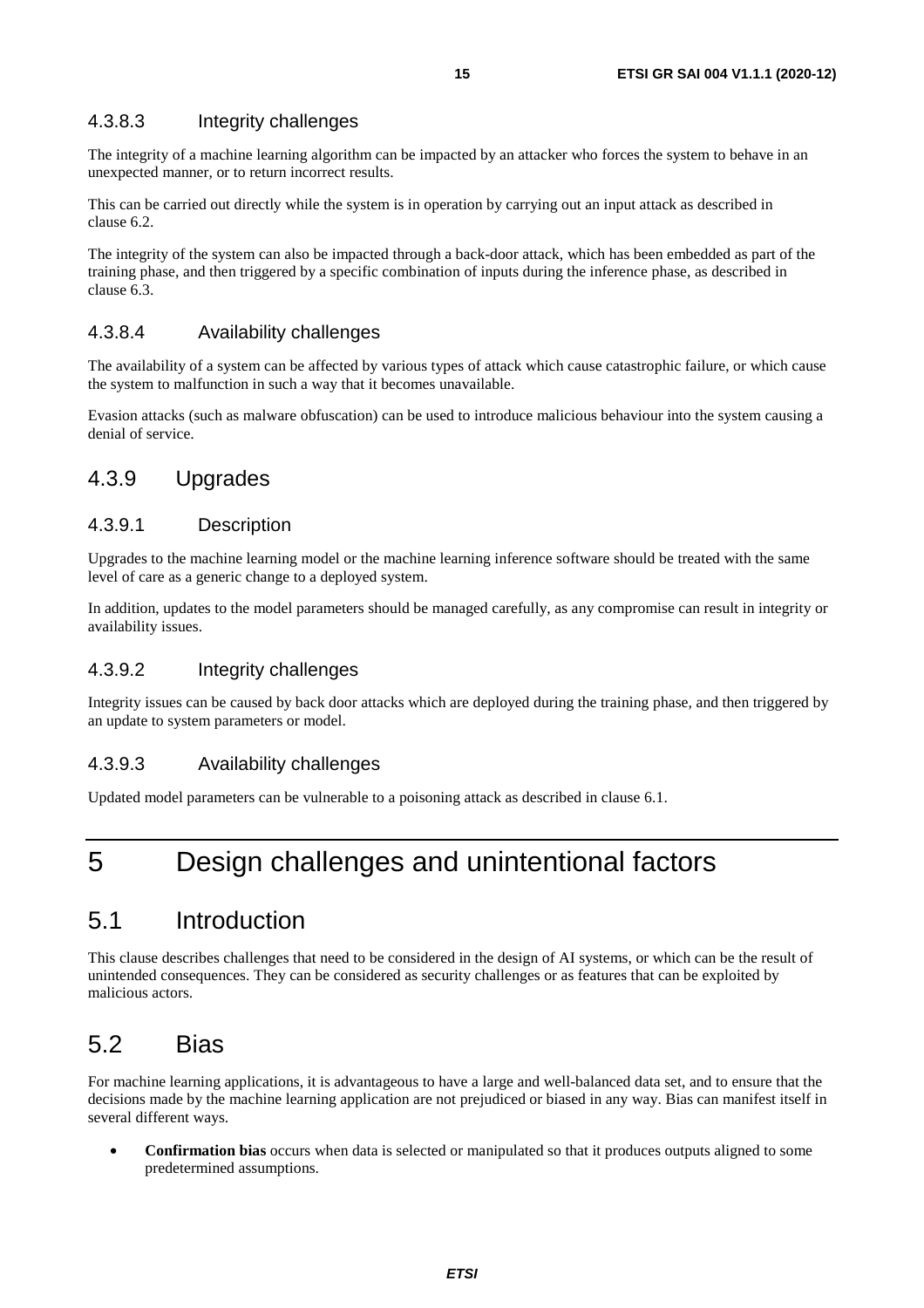#### <span id="page-14-0"></span>4.3.8.3 Integrity challenges

The integrity of a machine learning algorithm can be impacted by an attacker who forces the system to behave in an unexpected manner, or to return incorrect results.

This can be carried out directly while the system is in operation by carrying out an input attack as described in clause 6.2.

The integrity of the system can also be impacted through a back-door attack, which has been embedded as part of the training phase, and then triggered by a specific combination of inputs during the inference phase, as described in clause 6.3.

#### 4.3.8.4 Availability challenges

The availability of a system can be affected by various types of attack which cause catastrophic failure, or which cause the system to malfunction in such a way that it becomes unavailable.

Evasion attacks (such as malware obfuscation) can be used to introduce malicious behaviour into the system causing a denial of service.

#### 4.3.9 Upgrades

#### 4.3.9.1 Description

Upgrades to the machine learning model or the machine learning inference software should be treated with the same level of care as a generic change to a deployed system.

In addition, updates to the model parameters should be managed carefully, as any compromise can result in integrity or availability issues.

#### 4.3.9.2 Integrity challenges

Integrity issues can be caused by back door attacks which are deployed during the training phase, and then triggered by an update to system parameters or model.

#### 4.3.9.3 Availability challenges

Updated model parameters can be vulnerable to a poisoning attack as described in clause 6.1.

# 5 Design challenges and unintentional factors

### 5.1 Introduction

This clause describes challenges that need to be considered in the design of AI systems, or which can be the result of unintended consequences. They can be considered as security challenges or as features that can be exploited by malicious actors.

## 5.2 Bias

For machine learning applications, it is advantageous to have a large and well-balanced data set, and to ensure that the decisions made by the machine learning application are not prejudiced or biased in any way. Bias can manifest itself in several different ways.

• **Confirmation bias** occurs when data is selected or manipulated so that it produces outputs aligned to some predetermined assumptions.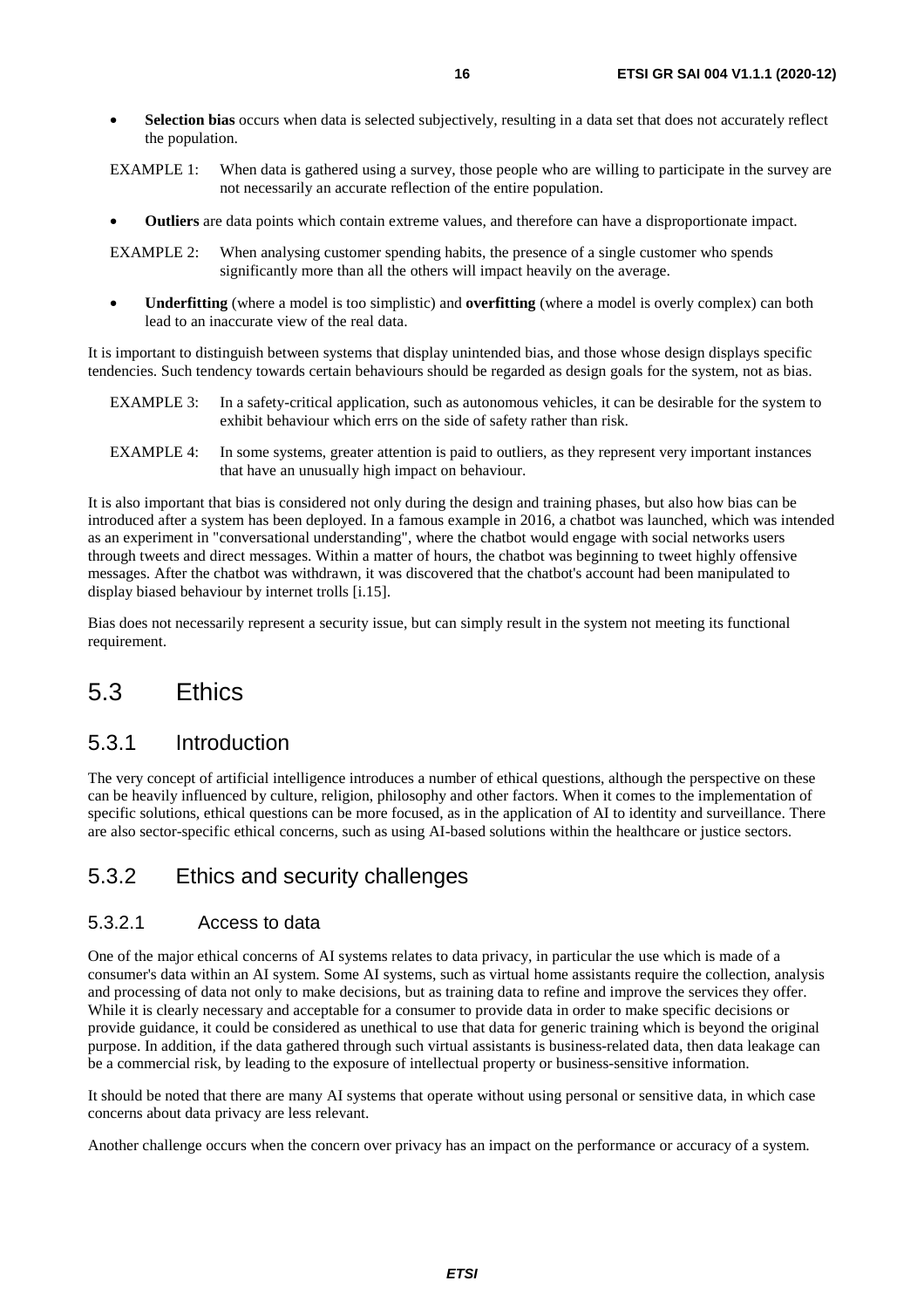- <span id="page-15-0"></span>• **Selection bias** occurs when data is selected subjectively, resulting in a data set that does not accurately reflect the population.
- EXAMPLE 1: When data is gathered using a survey, those people who are willing to participate in the survey are not necessarily an accurate reflection of the entire population.
- **Outliers** are data points which contain extreme values, and therefore can have a disproportionate impact.

EXAMPLE 2: When analysing customer spending habits, the presence of a single customer who spends significantly more than all the others will impact heavily on the average.

• **Underfitting** (where a model is too simplistic) and **overfitting** (where a model is overly complex) can both lead to an inaccurate view of the real data.

It is important to distinguish between systems that display unintended bias, and those whose design displays specific tendencies. Such tendency towards certain behaviours should be regarded as design goals for the system, not as bias.

- EXAMPLE 3: In a safety-critical application, such as autonomous vehicles, it can be desirable for the system to exhibit behaviour which errs on the side of safety rather than risk.
- EXAMPLE 4: In some systems, greater attention is paid to outliers, as they represent very important instances that have an unusually high impact on behaviour.

It is also important that bias is considered not only during the design and training phases, but also how bias can be introduced after a system has been deployed. In a famous example in 2016, a chatbot was launched, which was intended as an experiment in "conversational understanding", where the chatbot would engage with social networks users through tweets and direct messages. Within a matter of hours, the chatbot was beginning to tweet highly offensive messages. After the chatbot was withdrawn, it was discovered that the chatbot's account had been manipulated to display biased behaviour by internet trolls [[i.15\]](#page-6-0).

Bias does not necessarily represent a security issue, but can simply result in the system not meeting its functional requirement.

# 5.3 Ethics

#### 5.3.1 Introduction

The very concept of artificial intelligence introduces a number of ethical questions, although the perspective on these can be heavily influenced by culture, religion, philosophy and other factors. When it comes to the implementation of specific solutions, ethical questions can be more focused, as in the application of AI to identity and surveillance. There are also sector-specific ethical concerns, such as using AI-based solutions within the healthcare or justice sectors.

### 5.3.2 Ethics and security challenges

#### 5.3.2.1 Access to data

One of the major ethical concerns of AI systems relates to data privacy, in particular the use which is made of a consumer's data within an AI system. Some AI systems, such as virtual home assistants require the collection, analysis and processing of data not only to make decisions, but as training data to refine and improve the services they offer. While it is clearly necessary and acceptable for a consumer to provide data in order to make specific decisions or provide guidance, it could be considered as unethical to use that data for generic training which is beyond the original purpose. In addition, if the data gathered through such virtual assistants is business-related data, then data leakage can be a commercial risk, by leading to the exposure of intellectual property or business-sensitive information.

It should be noted that there are many AI systems that operate without using personal or sensitive data, in which case concerns about data privacy are less relevant.

Another challenge occurs when the concern over privacy has an impact on the performance or accuracy of a system.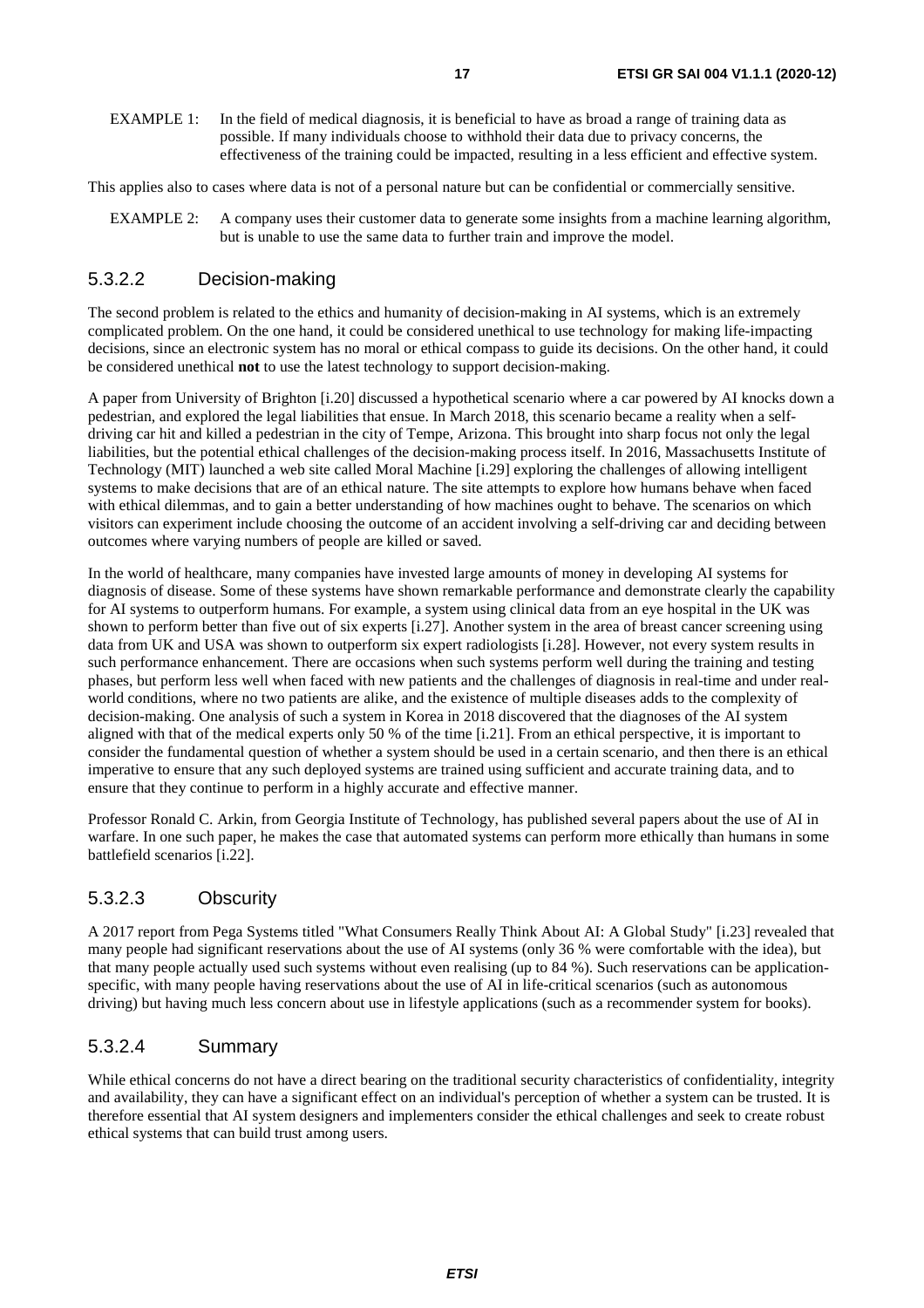<span id="page-16-0"></span>EXAMPLE 1: In the field of medical diagnosis, it is beneficial to have as broad a range of training data as possible. If many individuals choose to withhold their data due to privacy concerns, the effectiveness of the training could be impacted, resulting in a less efficient and effective system.

This applies also to cases where data is not of a personal nature but can be confidential or commercially sensitive.

EXAMPLE 2: A company uses their customer data to generate some insights from a machine learning algorithm, but is unable to use the same data to further train and improve the model.

#### 5.3.2.2 Decision-making

The second problem is related to the ethics and humanity of decision-making in AI systems, which is an extremely complicated problem. On the one hand, it could be considered unethical to use technology for making life-impacting decisions, since an electronic system has no moral or ethical compass to guide its decisions. On the other hand, it could be considered unethical **not** to use the latest technology to support decision-making.

A paper from University of Brighton [[i.20](#page-6-0)] discussed a hypothetical scenario where a car powered by AI knocks down a pedestrian, and explored the legal liabilities that ensue. In March 2018, this scenario became a reality when a selfdriving car hit and killed a pedestrian in the city of Tempe, Arizona. This brought into sharp focus not only the legal liabilities, but the potential ethical challenges of the decision-making process itself. In 2016, Massachusetts Institute of Technology (MIT) launched a web site called Moral Machine [[i.29](#page-7-0)] exploring the challenges of allowing intelligent systems to make decisions that are of an ethical nature. The site attempts to explore how humans behave when faced with ethical dilemmas, and to gain a better understanding of how machines ought to behave. The scenarios on which visitors can experiment include choosing the outcome of an accident involving a self-driving car and deciding between outcomes where varying numbers of people are killed or saved.

In the world of healthcare, many companies have invested large amounts of money in developing AI systems for diagnosis of disease. Some of these systems have shown remarkable performance and demonstrate clearly the capability for AI systems to outperform humans. For example, a system using clinical data from an eye hospital in the UK was shown to perform better than five out of six experts [\[i.27](#page-7-0)]. Another system in the area of breast cancer screening using data from UK and USA was shown to outperform six expert radiologists [[i.28\]](#page-7-0). However, not every system results in such performance enhancement. There are occasions when such systems perform well during the training and testing phases, but perform less well when faced with new patients and the challenges of diagnosis in real-time and under realworld conditions, where no two patients are alike, and the existence of multiple diseases adds to the complexity of decision-making. One analysis of such a system in Korea in 2018 discovered that the diagnoses of the AI system aligned with that of the medical experts only 50 % of the time [[i.21](#page-6-0)]. From an ethical perspective, it is important to consider the fundamental question of whether a system should be used in a certain scenario, and then there is an ethical imperative to ensure that any such deployed systems are trained using sufficient and accurate training data, and to ensure that they continue to perform in a highly accurate and effective manner.

Professor Ronald C. Arkin, from Georgia Institute of Technology, has published several papers about the use of AI in warfare. In one such paper, he makes the case that automated systems can perform more ethically than humans in some battlefield scenarios [\[i.22\]](#page-7-0).

#### 5.3.2.3 Obscurity

A 2017 report from Pega Systems titled "What Consumers Really Think About AI: A Global Study" [[i.23](#page-7-0)] revealed that many people had significant reservations about the use of AI systems (only 36 % were comfortable with the idea), but that many people actually used such systems without even realising (up to 84 %). Such reservations can be applicationspecific, with many people having reservations about the use of AI in life-critical scenarios (such as autonomous driving) but having much less concern about use in lifestyle applications (such as a recommender system for books).

#### 5.3.2.4 Summary

While ethical concerns do not have a direct bearing on the traditional security characteristics of confidentiality, integrity and availability, they can have a significant effect on an individual's perception of whether a system can be trusted. It is therefore essential that AI system designers and implementers consider the ethical challenges and seek to create robust ethical systems that can build trust among users.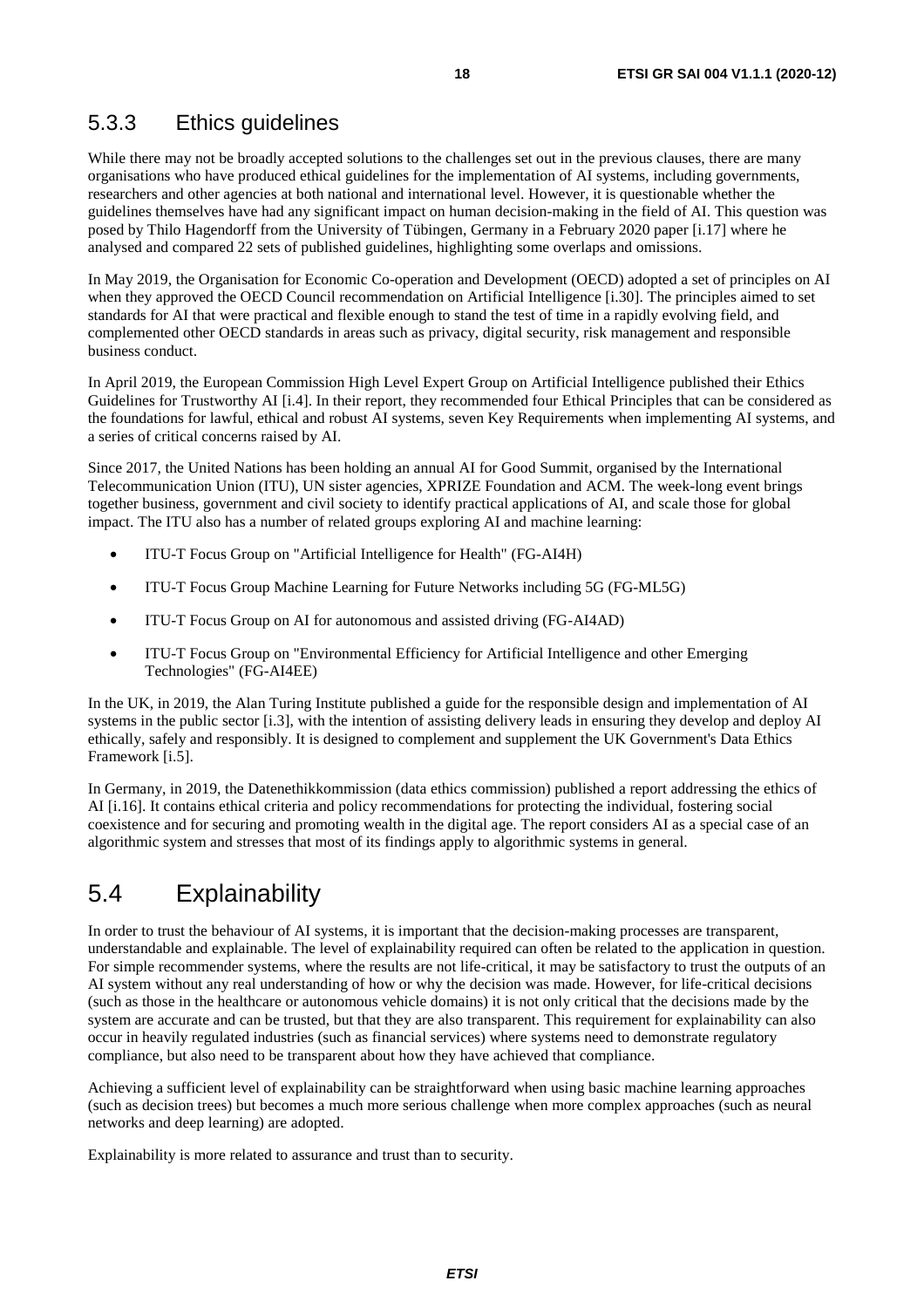### <span id="page-17-0"></span>5.3.3 Ethics guidelines

While there may not be broadly accepted solutions to the challenges set out in the previous clauses, there are many organisations who have produced ethical guidelines for the implementation of AI systems, including governments, researchers and other agencies at both national and international level. However, it is questionable whether the guidelines themselves have had any significant impact on human decision-making in the field of AI. This question was posed by Thilo Hagendorff from the University of Tübingen, Germany in a February 2020 paper [\[i.17](#page-6-0)] where he analysed and compared 22 sets of published guidelines, highlighting some overlaps and omissions.

In May 2019, the Organisation for Economic Co-operation and Development (OECD) adopted a set of principles on AI when they approved the OECD Council recommendation on Artificial Intelligence [\[i.30](#page-7-0)]. The principles aimed to set standards for AI that were practical and flexible enough to stand the test of time in a rapidly evolving field, and complemented other OECD standards in areas such as privacy, digital security, risk management and responsible business conduct.

In April 2019, the European Commission High Level Expert Group on Artificial Intelligence published their Ethics Guidelines for Trustworthy AI [[i.4](#page-5-0)]. In their report, they recommended four Ethical Principles that can be considered as the foundations for lawful, ethical and robust AI systems, seven Key Requirements when implementing AI systems, and a series of critical concerns raised by AI.

Since 2017, the United Nations has been holding an annual AI for Good Summit, organised by the International Telecommunication Union (ITU), UN sister agencies, XPRIZE Foundation and ACM. The week-long event brings together business, government and civil society to identify practical applications of AI, and scale those for global impact. The ITU also has a number of related groups exploring AI and machine learning:

- ITU-T Focus Group on "Artificial Intelligence for Health" (FG-AI4H)
- ITU-T Focus Group Machine Learning for Future Networks including 5G (FG-ML5G)
- ITU-T Focus Group on AI for autonomous and assisted driving (FG-AI4AD)
- ITU-T Focus Group on "Environmental Efficiency for Artificial Intelligence and other Emerging Technologies" (FG-AI4EE)

In the UK, in 2019, the Alan Turing Institute published a guide for the responsible design and implementation of AI systems in the public sector [[i.3](#page-5-0)], with the intention of assisting delivery leads in ensuring they develop and deploy AI ethically, safely and responsibly. It is designed to complement and supplement the UK Government's Data Ethics Framework [[i.5\]](#page-5-0).

In Germany, in 2019, the Datenethikkommission (data ethics commission) published a report addressing the ethics of AI [[i.16](#page-6-0)]. It contains ethical criteria and policy recommendations for protecting the individual, fostering social coexistence and for securing and promoting wealth in the digital age. The report considers AI as a special case of an algorithmic system and stresses that most of its findings apply to algorithmic systems in general.

# 5.4 Explainability

In order to trust the behaviour of AI systems, it is important that the decision-making processes are transparent, understandable and explainable. The level of explainability required can often be related to the application in question. For simple recommender systems, where the results are not life-critical, it may be satisfactory to trust the outputs of an AI system without any real understanding of how or why the decision was made. However, for life-critical decisions (such as those in the healthcare or autonomous vehicle domains) it is not only critical that the decisions made by the system are accurate and can be trusted, but that they are also transparent. This requirement for explainability can also occur in heavily regulated industries (such as financial services) where systems need to demonstrate regulatory compliance, but also need to be transparent about how they have achieved that compliance.

Achieving a sufficient level of explainability can be straightforward when using basic machine learning approaches (such as decision trees) but becomes a much more serious challenge when more complex approaches (such as neural networks and deep learning) are adopted.

Explainability is more related to assurance and trust than to security.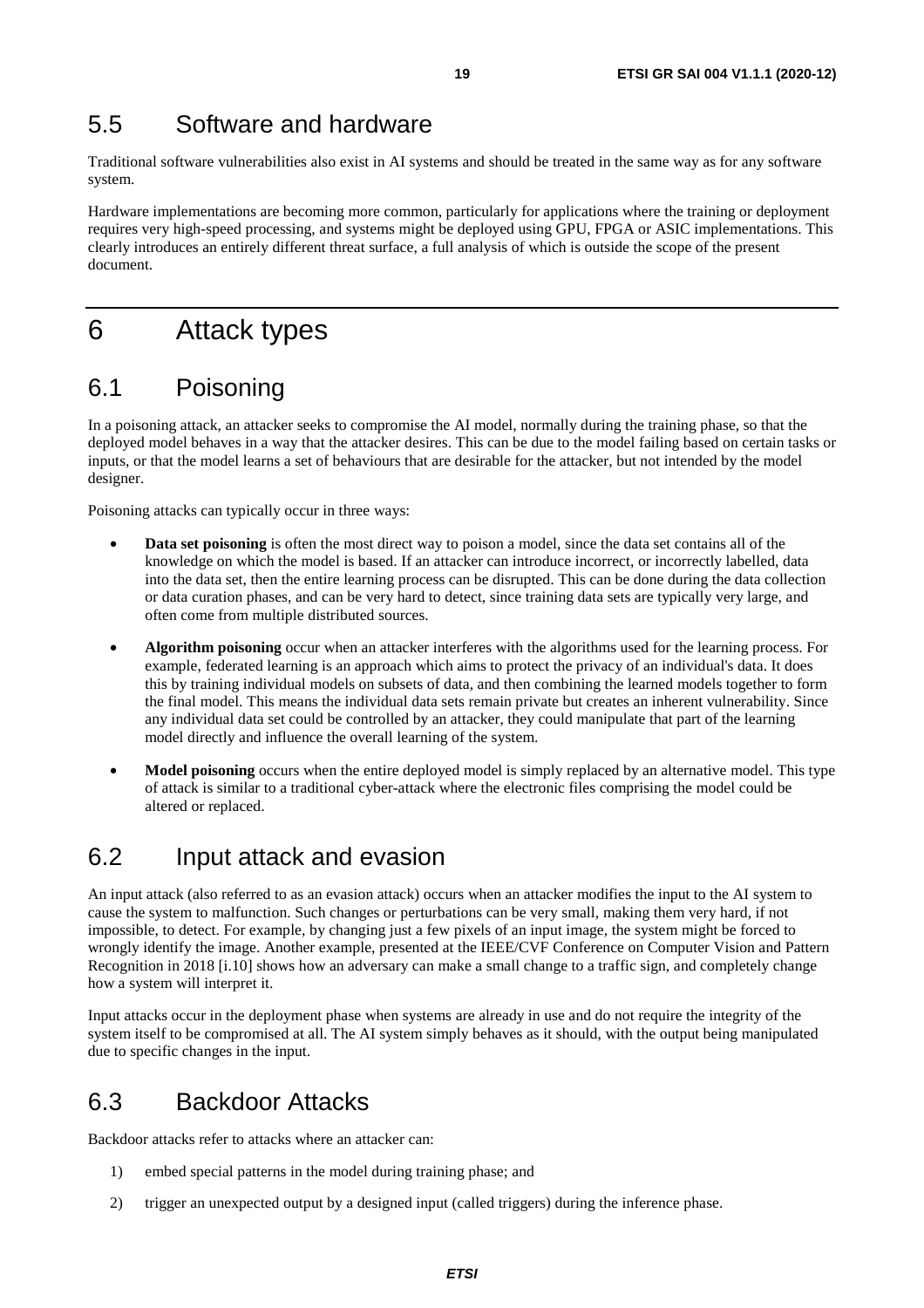# <span id="page-18-0"></span>5.5 Software and hardware

Traditional software vulnerabilities also exist in AI systems and should be treated in the same way as for any software system.

Hardware implementations are becoming more common, particularly for applications where the training or deployment requires very high-speed processing, and systems might be deployed using GPU, FPGA or ASIC implementations. This clearly introduces an entirely different threat surface, a full analysis of which is outside the scope of the present document.

# 6 Attack types

# 6.1 Poisoning

In a poisoning attack, an attacker seeks to compromise the AI model, normally during the training phase, so that the deployed model behaves in a way that the attacker desires. This can be due to the model failing based on certain tasks or inputs, or that the model learns a set of behaviours that are desirable for the attacker, but not intended by the model designer.

Poisoning attacks can typically occur in three ways:

- **Data set poisoning** is often the most direct way to poison a model, since the data set contains all of the knowledge on which the model is based. If an attacker can introduce incorrect, or incorrectly labelled, data into the data set, then the entire learning process can be disrupted. This can be done during the data collection or data curation phases, and can be very hard to detect, since training data sets are typically very large, and often come from multiple distributed sources.
- **Algorithm poisoning** occur when an attacker interferes with the algorithms used for the learning process. For example, federated learning is an approach which aims to protect the privacy of an individual's data. It does this by training individual models on subsets of data, and then combining the learned models together to form the final model. This means the individual data sets remain private but creates an inherent vulnerability. Since any individual data set could be controlled by an attacker, they could manipulate that part of the learning model directly and influence the overall learning of the system.
- **Model poisoning** occurs when the entire deployed model is simply replaced by an alternative model. This type of attack is similar to a traditional cyber-attack where the electronic files comprising the model could be altered or replaced.

### 6.2 Input attack and evasion

An input attack (also referred to as an evasion attack) occurs when an attacker modifies the input to the AI system to cause the system to malfunction. Such changes or perturbations can be very small, making them very hard, if not impossible, to detect. For example, by changing just a few pixels of an input image, the system might be forced to wrongly identify the image. Another example, presented at the IEEE/CVF Conference on Computer Vision and Pattern Recognition in 2018 [\[i.10](#page-6-0)] shows how an adversary can make a small change to a traffic sign, and completely change how a system will interpret it.

Input attacks occur in the deployment phase when systems are already in use and do not require the integrity of the system itself to be compromised at all. The AI system simply behaves as it should, with the output being manipulated due to specific changes in the input.

## 6.3 Backdoor Attacks

Backdoor attacks refer to attacks where an attacker can:

- 1) embed special patterns in the model during training phase; and
- 2) trigger an unexpected output by a designed input (called triggers) during the inference phase.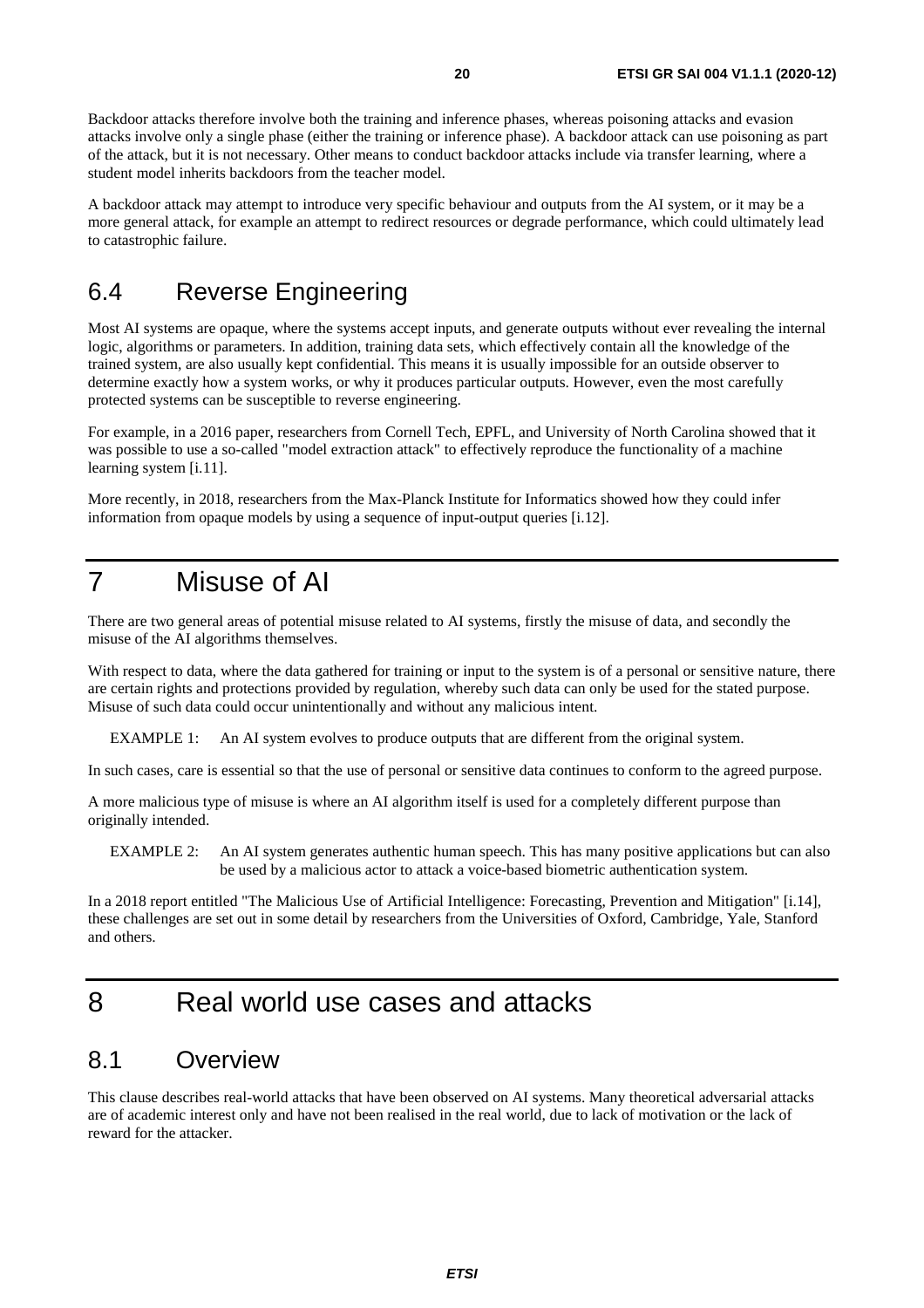<span id="page-19-0"></span>Backdoor attacks therefore involve both the training and inference phases, whereas poisoning attacks and evasion attacks involve only a single phase (either the training or inference phase). A backdoor attack can use poisoning as part of the attack, but it is not necessary. Other means to conduct backdoor attacks include via transfer learning, where a student model inherits backdoors from the teacher model.

A backdoor attack may attempt to introduce very specific behaviour and outputs from the AI system, or it may be a more general attack, for example an attempt to redirect resources or degrade performance, which could ultimately lead to catastrophic failure.

# 6.4 Reverse Engineering

Most AI systems are opaque, where the systems accept inputs, and generate outputs without ever revealing the internal logic, algorithms or parameters. In addition, training data sets, which effectively contain all the knowledge of the trained system, are also usually kept confidential. This means it is usually impossible for an outside observer to determine exactly how a system works, or why it produces particular outputs. However, even the most carefully protected systems can be susceptible to reverse engineering.

For example, in a 2016 paper, researchers from Cornell Tech, EPFL, and University of North Carolina showed that it was possible to use a so-called "model extraction attack" to effectively reproduce the functionality of a machine learning system [\[i.11\]](#page-6-0).

More recently, in 2018, researchers from the Max-Planck Institute for Informatics showed how they could infer information from opaque models by using a sequence of input-output queries [\[i.12](#page-6-0)].

# 7 Misuse of AI

There are two general areas of potential misuse related to AI systems, firstly the misuse of data, and secondly the misuse of the AI algorithms themselves.

With respect to data, where the data gathered for training or input to the system is of a personal or sensitive nature, there are certain rights and protections provided by regulation, whereby such data can only be used for the stated purpose. Misuse of such data could occur unintentionally and without any malicious intent.

EXAMPLE 1: An AI system evolves to produce outputs that are different from the original system.

In such cases, care is essential so that the use of personal or sensitive data continues to conform to the agreed purpose.

A more malicious type of misuse is where an AI algorithm itself is used for a completely different purpose than originally intended.

EXAMPLE 2: An AI system generates authentic human speech. This has many positive applications but can also be used by a malicious actor to attack a voice-based biometric authentication system.

In a 2018 report entitled "The Malicious Use of Artificial Intelligence: Forecasting, Prevention and Mitigation" [\[i.14](#page-6-0)], these challenges are set out in some detail by researchers from the Universities of Oxford, Cambridge, Yale, Stanford and others.

# 8 Real world use cases and attacks

### 8.1 Overview

This clause describes real-world attacks that have been observed on AI systems. Many theoretical adversarial attacks are of academic interest only and have not been realised in the real world, due to lack of motivation or the lack of reward for the attacker.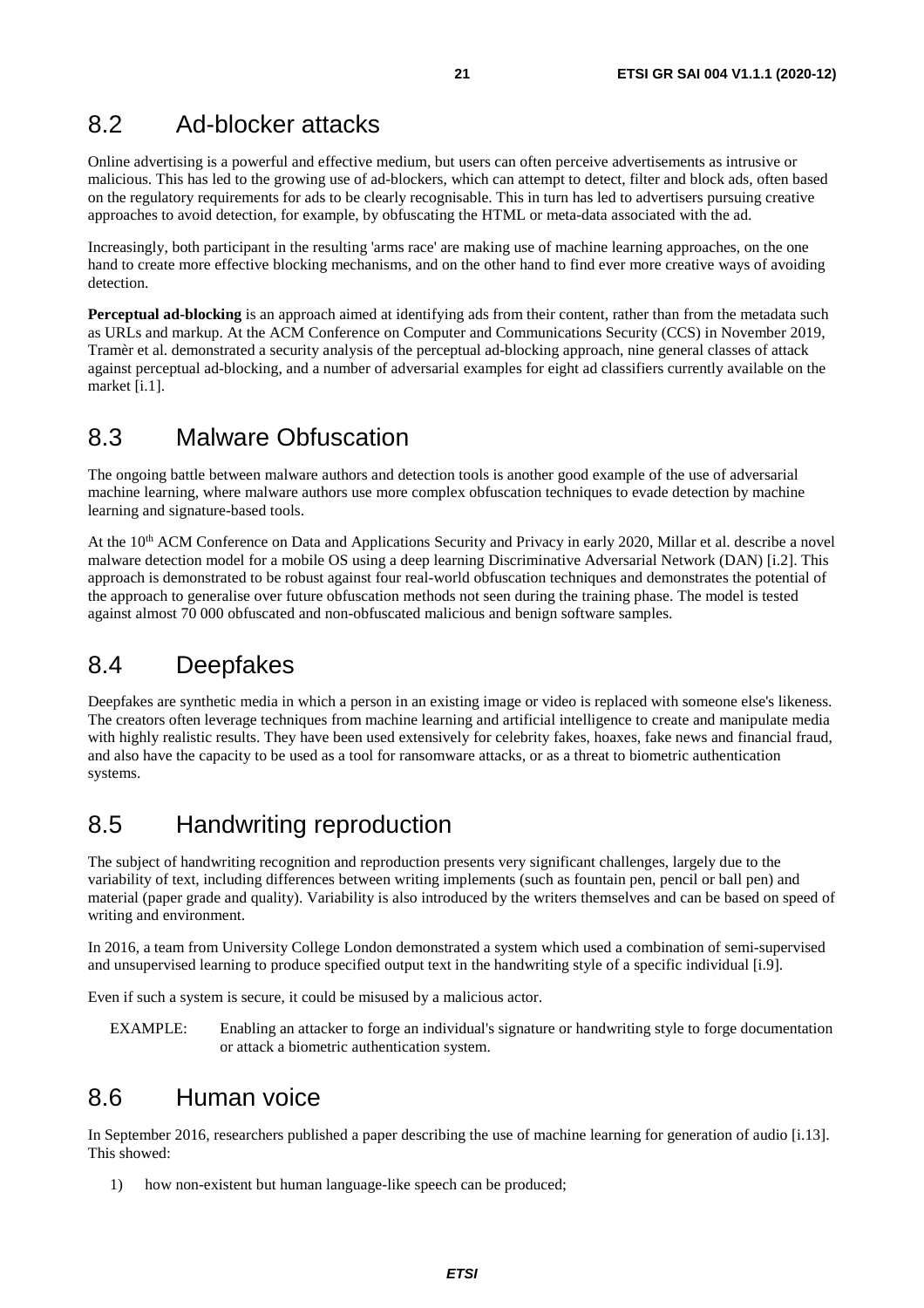# <span id="page-20-0"></span>8.2 Ad-blocker attacks

Online advertising is a powerful and effective medium, but users can often perceive advertisements as intrusive or malicious. This has led to the growing use of ad-blockers, which can attempt to detect, filter and block ads, often based on the regulatory requirements for ads to be clearly recognisable. This in turn has led to advertisers pursuing creative approaches to avoid detection, for example, by obfuscating the HTML or meta-data associated with the ad.

Increasingly, both participant in the resulting 'arms race' are making use of machine learning approaches, on the one hand to create more effective blocking mechanisms, and on the other hand to find ever more creative ways of avoiding detection.

**Perceptual ad-blocking** is an approach aimed at identifying ads from their content, rather than from the metadata such as URLs and markup. At the ACM Conference on Computer and Communications Security (CCS) in November 2019, Tramèr et al. demonstrated a security analysis of the perceptual ad-blocking approach, nine general classes of attack against perceptual ad-blocking, and a number of adversarial examples for eight ad classifiers currently available on the market [\[i.1\]](#page-5-0).

# 8.3 Malware Obfuscation

The ongoing battle between malware authors and detection tools is another good example of the use of adversarial machine learning, where malware authors use more complex obfuscation techniques to evade detection by machine learning and signature-based tools.

At the 10<sup>th</sup> ACM Conference on Data and Applications Security and Privacy in early 2020, Millar et al. describe a novel malware detection model for a mobile OS using a deep learning Discriminative Adversarial Network (DAN) [\[i.2](#page-5-0)]. This approach is demonstrated to be robust against four real-world obfuscation techniques and demonstrates the potential of the approach to generalise over future obfuscation methods not seen during the training phase. The model is tested against almost 70 000 obfuscated and non-obfuscated malicious and benign software samples.

# 8.4 Deepfakes

Deepfakes are synthetic media in which a person in an existing image or video is replaced with someone else's likeness. The creators often leverage techniques from machine learning and artificial intelligence to create and manipulate media with highly realistic results. They have been used extensively for celebrity fakes, hoaxes, fake news and financial fraud, and also have the capacity to be used as a tool for ransomware attacks, or as a threat to biometric authentication systems.

# 8.5 Handwriting reproduction

The subject of handwriting recognition and reproduction presents very significant challenges, largely due to the variability of text, including differences between writing implements (such as fountain pen, pencil or ball pen) and material (paper grade and quality). Variability is also introduced by the writers themselves and can be based on speed of writing and environment.

In 2016, a team from University College London demonstrated a system which used a combination of semi-supervised and unsupervised learning to produce specified output text in the handwriting style of a specific individual [\[i.9](#page-6-0)].

Even if such a system is secure, it could be misused by a malicious actor.

EXAMPLE: Enabling an attacker to forge an individual's signature or handwriting style to forge documentation or attack a biometric authentication system.

# 8.6 Human voice

In September 2016, researchers published a paper describing the use of machine learning for generation of audio [\[i.13](#page-6-0)]. This showed:

1) how non-existent but human language-like speech can be produced;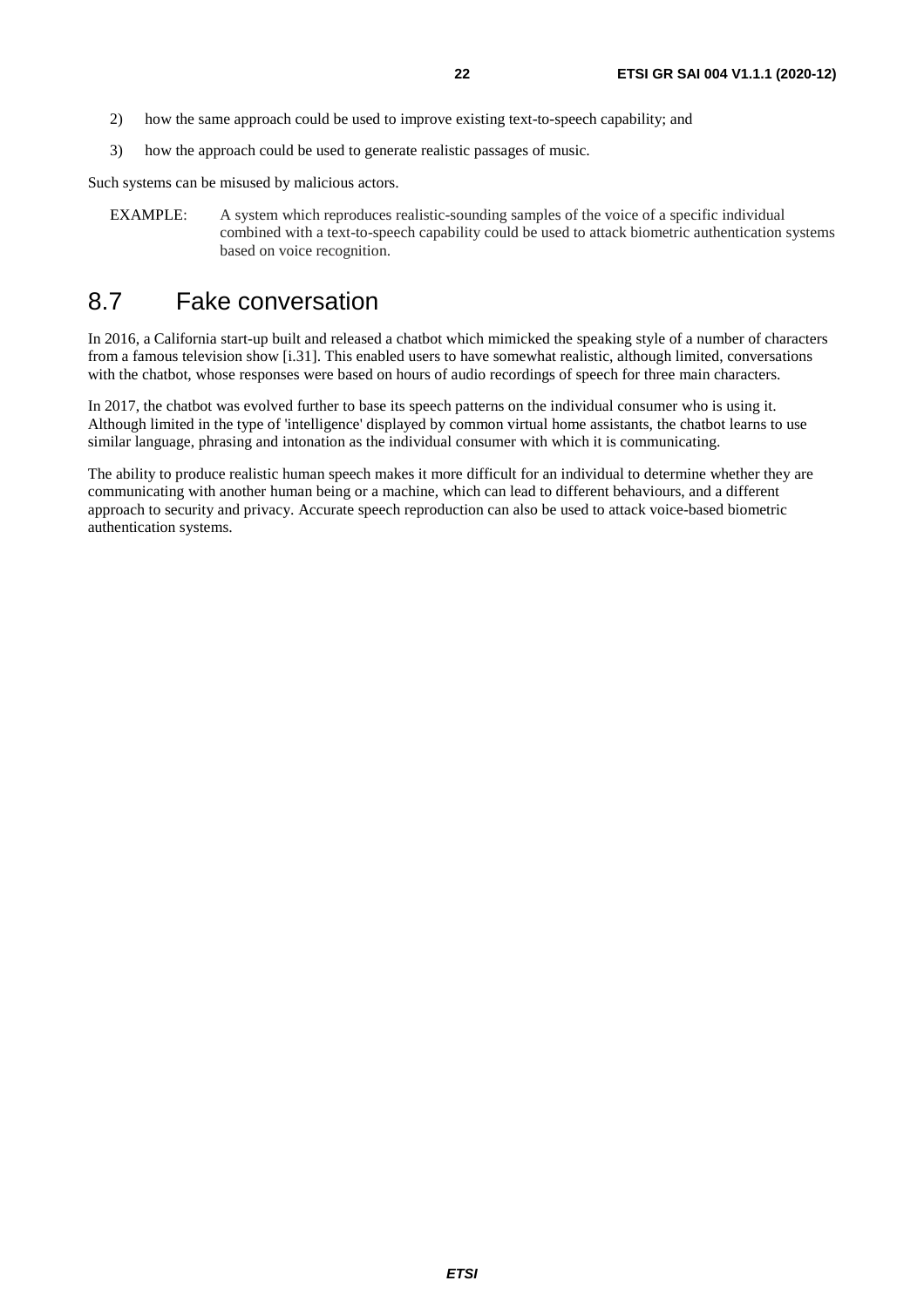- <span id="page-21-0"></span>2) how the same approach could be used to improve existing text-to-speech capability; and
- 3) how the approach could be used to generate realistic passages of music.

Such systems can be misused by malicious actors.

EXAMPLE: A system which reproduces realistic-sounding samples of the voice of a specific individual combined with a text-to-speech capability could be used to attack biometric authentication systems based on voice recognition.

# 8.7 Fake conversation

In 2016, a California start-up built and released a chatbot which mimicked the speaking style of a number of characters from a famous television show [\[i.31\]](#page-7-0). This enabled users to have somewhat realistic, although limited, conversations with the chatbot, whose responses were based on hours of audio recordings of speech for three main characters.

In 2017, the chatbot was evolved further to base its speech patterns on the individual consumer who is using it. Although limited in the type of 'intelligence' displayed by common virtual home assistants, the chatbot learns to use similar language, phrasing and intonation as the individual consumer with which it is communicating.

The ability to produce realistic human speech makes it more difficult for an individual to determine whether they are communicating with another human being or a machine, which can lead to different behaviours, and a different approach to security and privacy. Accurate speech reproduction can also be used to attack voice-based biometric authentication systems.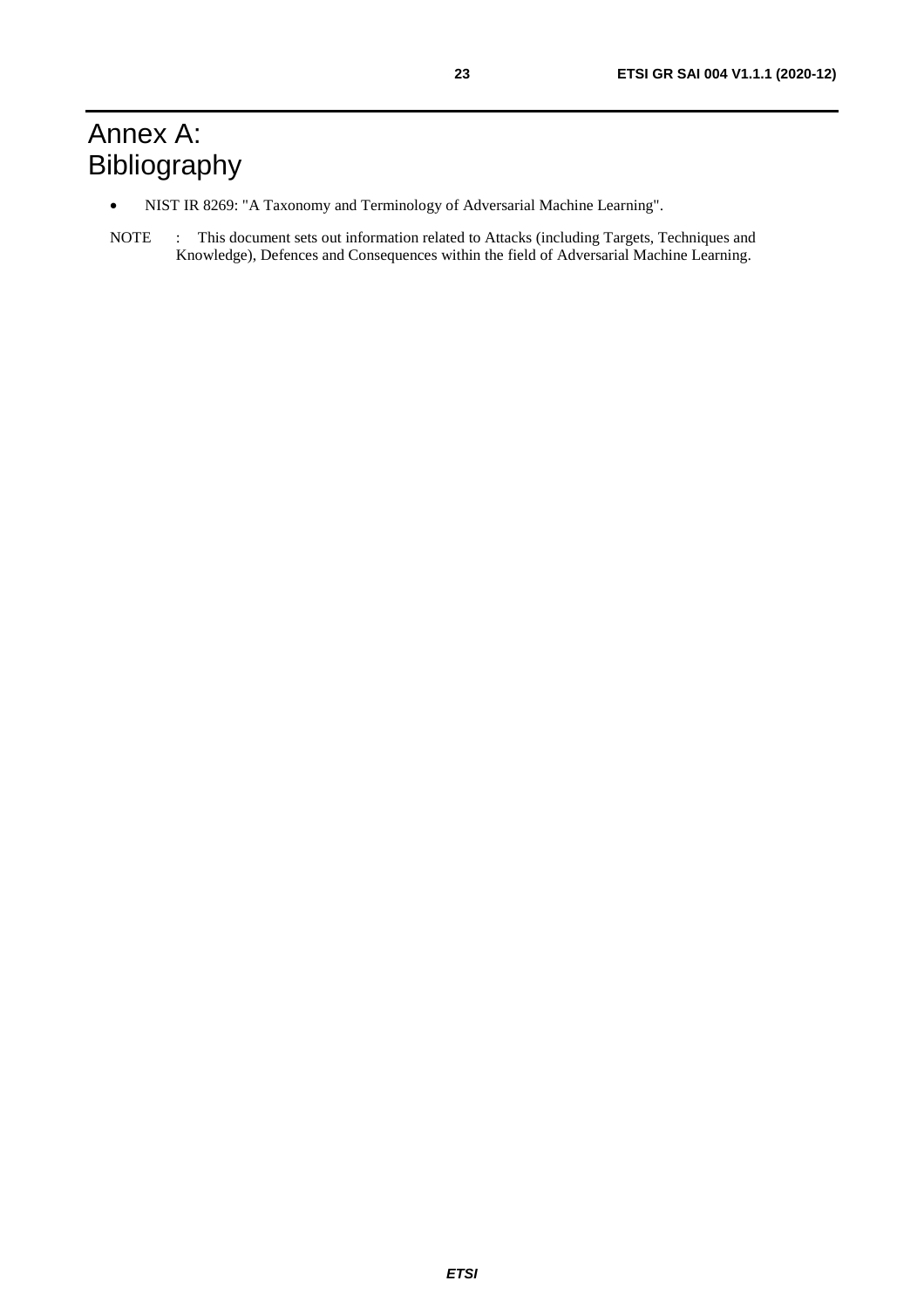# <span id="page-22-0"></span>Annex A: Bibliography

- NIST IR 8269: "A Taxonomy and Terminology of Adversarial Machine Learning".
- NOTE : This document sets out information related to Attacks (including Targets, Techniques and Knowledge), Defences and Consequences within the field of Adversarial Machine Learning.